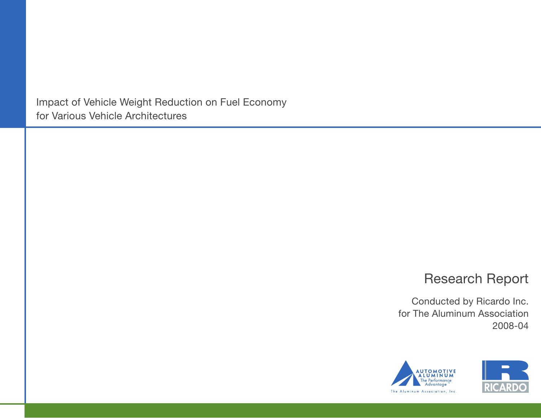Impact of Vehicle Weight Reduction on Fuel Economy for Various Vehicle Architectures

## Research Report

Conducted by Ricardo Inc. for The Aluminum Association 2008-04



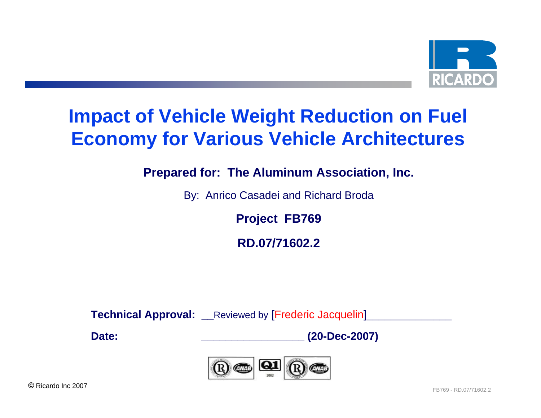

# **Impact of Vehicle Weight Reduction on Fuel Economy for Various Vehicle Architectures**

**Prepared for: The Aluminum Association, Inc.**

By: Anrico Casadei and Richard Broda

**Project FB769**

**RD.07/71602.2**

**Technical Approval:** Reviewed by [Frederic Jacquelin]

**Date:**

**\_\_\_\_\_\_\_\_\_\_\_\_\_\_\_\_\_ (20-Dec-2007)**

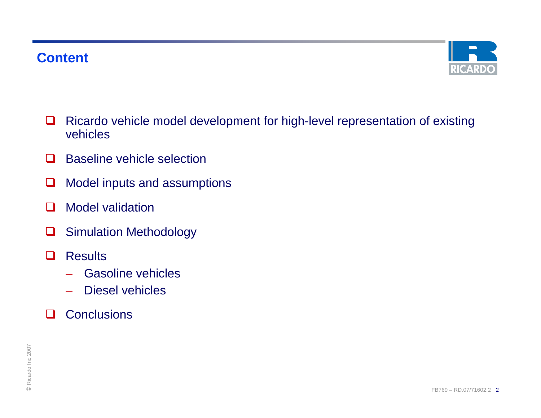

- □ Ricardo vehicle model development for high-level representation of existing vehicles
- $\Box$ Baseline vehicle selection
- ⊔ Model inputs and assumptions
- $\mathbf{I}$ Model validation
- $\Box$ Simulation Methodology
- $\Box$ **Results** 
	- Gasoline vehicles
	- Diesel vehicles
- П **Conclusions**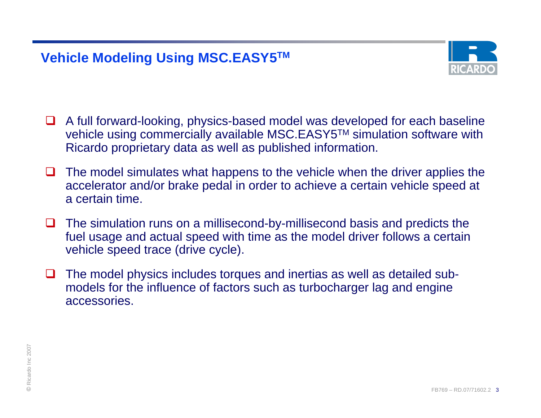## **Vehicle Modeling Using MSC.EASY5TM**



- A full forward-looking, physics-based model was developed for each baseline vehicle using commercially available MSC.EASY5™ simulation software with Ricardo proprietary data as well as published information.
- ப The model simulates what happens to the vehicle when the driver applies the accelerator and/or brake pedal in order to achieve a certain vehicle speed at a certain time.
- $\Box$  The simulation runs on a millisecond-by-millisecond basis and predicts the fuel usage and actual speed with time as the model driver follows a certain vehicle speed trace (drive cycle).
- $\Box$  The model physics includes torques and inertias as well as detailed submodels for the influence of factors such as turbocharger lag and engine accessories.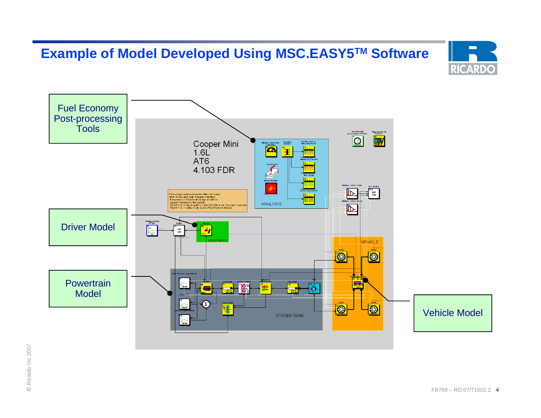## **Example of Model Developed Using MSC.EASY5TM Software**



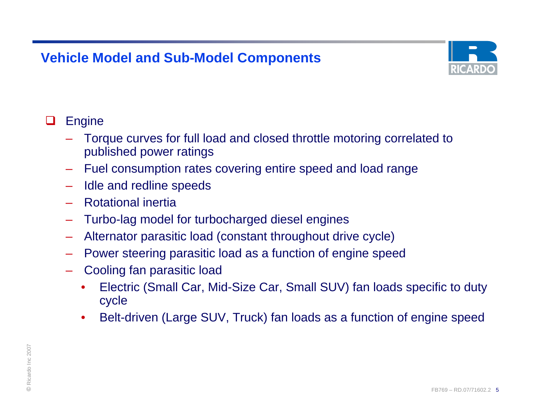

#### ❏ **Engine**

- Torque curves for full load and closed throttle motoring correlated to published power ratings
- Fuel consumption rates covering entire speed and load range
- –Idle and redline speeds
- Rotational inertia
- –Turbo-lag model for turbocharged diesel engines
- Alternator parasitic load (constant throughout drive cycle)
- Power steering parasitic load as a function of engine speed
- Cooling fan parasitic load
	- • Electric (Small Car, Mid-Size Car, Small SUV) fan loads specific to duty cycle
	- •Belt-driven (Large SUV, Truck) fan loads as a function of engine speed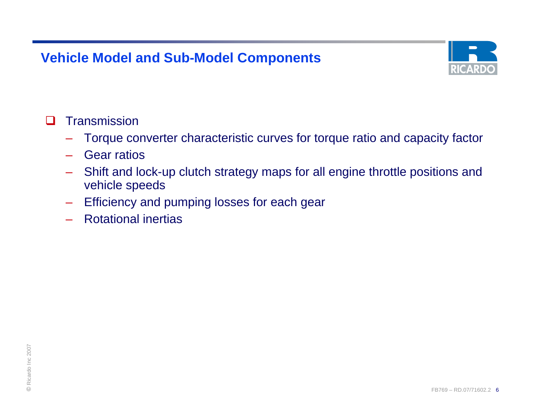

#### П **Transmission**

- Torque converter characteristic curves for torque ratio and capacity factor
- Gear ratios
- Shift and lock-up clutch strategy maps for all engine throttle positions and vehicle speeds
- –Efficiency and pumping losses for each gear
- Rotational inertias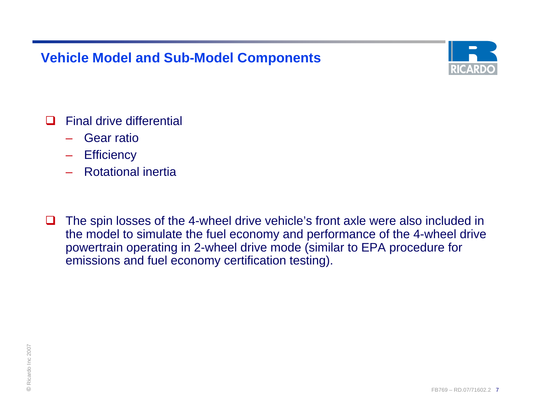

- $\Box$  Final drive differential
	- Gear ratio
	- **Efficiency**
	- Rotational inertia
- ப The spin losses of the 4-wheel drive vehicle's front axle were also included in the model to simulate the fuel economy and performance of the 4-wheel drive powertrain operating in 2-wheel drive mode (similar to EPA procedure for emissions and fuel economy certification testing).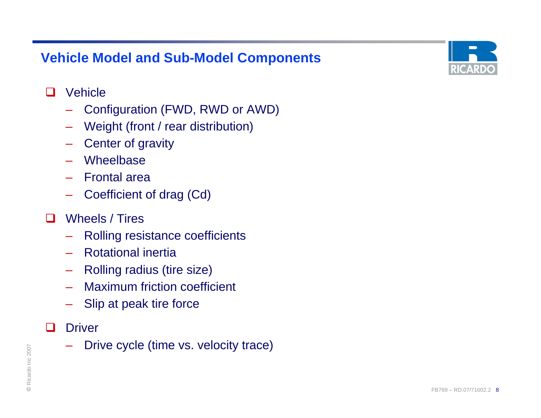

#### $\Box$ **Vehicle**

- Configuration (FWD, RWD or AWD)
- Weight (front / rear distribution)
- Center of gravity
- Wheelbase
- Frontal area
- Coefficient of drag (Cd)

#### $\Box$ Wheels / Tires

- Rolling resistance coefficients
- Rotational inertia
- –Rolling radius (tire size)
- Maximum friction coefficient
- –Slip at peak tire force
- $\Box$ **Driver**
- $R_{\text{R}} = \text{PINVE CYCIE (IINIE VS. VEIOCIIY IIACE)}$ Drive cycle (time vs. velocity trace)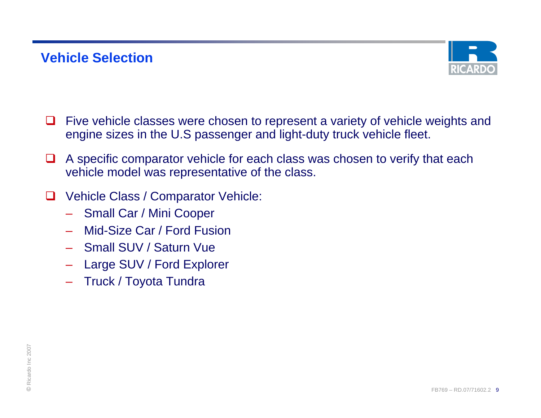

- П Five vehicle classes were chosen to represent a variety of vehicle weights and engine sizes in the U.S passenger and light-duty truck vehicle fleet.
- $\Box$  A specific comparator vehicle for each class was chosen to verify that each vehicle model was representative of the class.
- ப Vehicle Class / Comparator Vehicle:
	- Small Car / Mini Cooper
	- Mid-Size Car / Ford Fusion
	- Small SUV / Saturn Vue
	- Large SUV / Ford Explorer
	- Truck / Toyota Tundra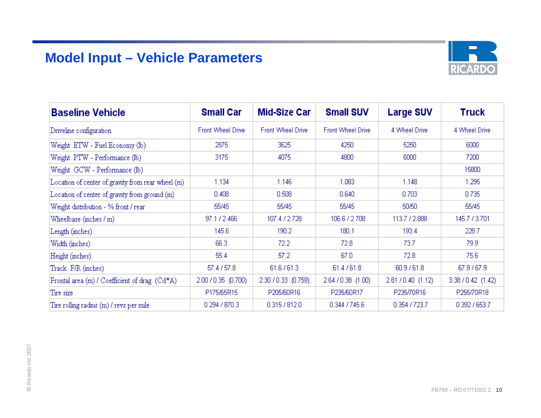## **Model Input – Vehicle Parameters**



| <b>Baseline Vehicle</b>                           | <b>Small Car</b>         | <b>Mid-Size Car</b>      | <b>Small SUV</b>         | <b>Large SUV</b>   | Truck              |
|---------------------------------------------------|--------------------------|--------------------------|--------------------------|--------------------|--------------------|
| Driveline configuration                           | <b>Front Wheel Drive</b> | <b>Front Wheel Drive</b> | <b>Front Wheel Drive</b> | 4 Wheel Drive      | 4 Wheel Drive      |
| Weight ETW - Fuel Economy (lb)                    | 2875                     | 3625                     | 4250                     | 5250               | 6000               |
| Weight PTW - Performance (lb)                     | 3175                     | 4075                     | 4800                     | 6000               | 7200               |
| Weight GCW - Performance (lb)                     |                          |                          |                          |                    | 15800              |
| Location of center of gravity from rear wheel (m) | 1.134                    | 1.146                    | 1.083                    | 1.148              | 1.295              |
| Location of center of gravity from ground (m)     | 0.408                    | 0.508                    | 0.640                    | 0.703              | 0.735              |
| Weight distribution - % front / rear              | 55/45                    | 55/45                    | 55/45                    | 50/50              | 55/45              |
| Wheelbase (inches $/m$ )                          | 97.1 / 2.466             | 107.4 / 2.728            | 106.6 / 2.708            | 113.7 / 2.888      | 145.7 / 3.701      |
| Length (inches)                                   | 145.6                    | 190.2                    | 180.1                    | 193.4              | 228.7              |
| Width (inches)                                    | 66.3                     | 72.2                     | 72.8                     | 73.7               | 79.9               |
| Height (inches)                                   | 55.4                     | 57.2                     | 67.0                     | 72.8               | 75.6               |
| Track F/R (inches)                                | 57.4 / 57.8              | 61.6 / 61.3              | 61.4 / 61.8              | 60.9761.8          | 67.9 / 67.9        |
| Frontal area (m) / Coefficient of drag (Cd*A)     | 2.00 / 0.35 (0.700)      | 2.30 / 0.33 (0.759)      | 2.64 / 0.38 (1.00)       | 2.81 / 0.40 (1.12) | 3.38 / 0.42 (1.42) |
| Tire size                                         | P175/65R15               | P205/60R16               | P235/60R17               | P235/70R16         | P255/70R18         |
| Tire rolling radius (m) / revs per mile           | 0.294 / 870.3            | 0.315 / 812.0            | 0.344 / 745.6            | 0.354 / 723.7      | 0.392 / 653.7      |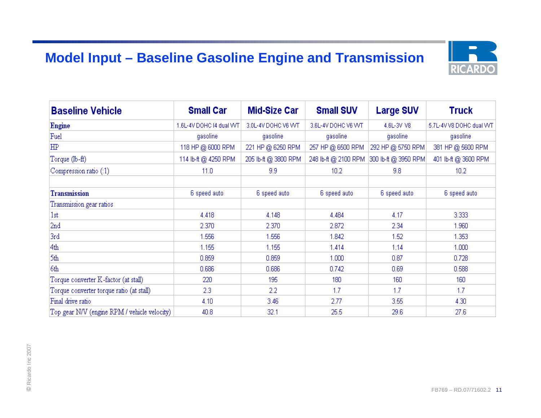## **Model Input – Baseline Gasoline Engine and Transmission**



| <b>Baseline Vehicle</b>                      | <b>Small Car</b>         | <b>Mid-Size Car</b>  | <b>Small SUV</b>     | <b>Large SUV</b>     | <b>Truck</b>             |
|----------------------------------------------|--------------------------|----------------------|----------------------|----------------------|--------------------------|
| <b>Engine</b>                                | 1.6L-4V DOHC I4 dual VVT | 3.0L-4V DOHC V6 VVT  | 3.6L-4V DOHC V6 VVT  | 4.6L-3V V8           | 5.7L-4V V8 DOHC dual VVT |
| Fuel                                         | gasoline                 | gasoline             | gasoline             | gasoline             | gasoline                 |
| HP                                           | 118 HP @ 6000 RPM        | 221 HP @ 6250 RPM    | 257 HP @ 6500 RPM    | 292 HP @ 5750 RPM    | 381 HP @ 5600 RPM        |
| Torque (lb-ft)                               | 114 lb-ft @ 4250 RPM     | 205 lb-ft @ 3800 RPM | 248 lb-ft @ 2100 RPM | 300 lb-ft @ 3950 RPM | 401 lb-ft @ 3600 RPM     |
| Compression ratio (:1)                       | 11.0                     | 9.9                  | 10.2                 | 9.8                  | 10.2                     |
| <b>Transmission</b>                          | 6 speed auto             | 6 speed auto         | 6 speed auto         | 6 speed auto         | 6 speed auto             |
| Transmission gear ratios                     |                          |                      |                      |                      |                          |
| 1st                                          | 4.418                    | 4.148                | 4.484                | 4.17                 | 3.333                    |
| 2nd                                          | 2.370                    | 2.370                | 2.872                | 2.34                 | 1.960                    |
| 3rd                                          | 1.556                    | 1.556                | 1.842                | 1.52                 | 1.353                    |
| 4th                                          | 1.155                    | 1.155                | 1.414                | 1.14                 | 1.000                    |
| 5th                                          | 0.859                    | 0.859                | 1.000                | 0.87                 | 0.728                    |
| 6th                                          | 0.686                    | 0.686                | 0.742                | 0.69                 | 0.588                    |
| Torque converter K-factor (at stall)         | 220                      | 195                  | 180                  | 160                  | 160                      |
| Torque converter torque ratio (at stall)     | 2.3                      | 2.2                  | 1.7                  | 1.7                  | 1.7                      |
| Final drive ratio                            | 4.10                     | 3.46                 | 2.77                 | 3.55                 | 4.30                     |
| Top gear N/V (engine RPM / vehicle velocity) | 40.8                     | 32.1                 | 25.5                 | 29.6                 | 27.6                     |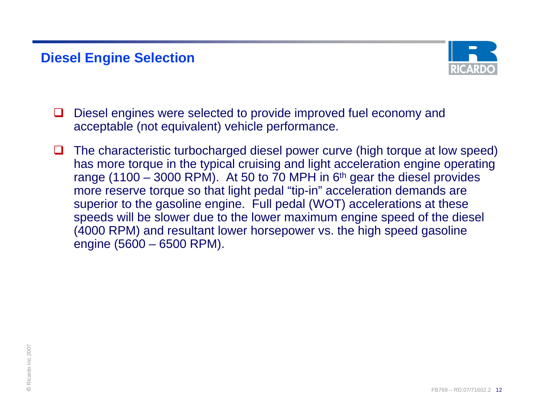## **Diesel Engine Selection**



- ப Diesel engines were selected to provide improved fuel economy and acceptable (not equivalent) vehicle performance.
- $\Box$  The characteristic turbocharged diesel power curve (high torque at low speed) has more torque in the typical cruising and light acceleration engine operating range (1100 – 3000 RPM). At 50 to 70 MPH in  $6<sup>th</sup>$  gear the diesel provides more reserve torque so that light pedal "tip-in" acceleration demands are superior to the gasoline engine. Full pedal (WOT) accelerations at these speeds will be slower due to the lower maximum engine speed of the diesel (4000 RPM) and resultant lower horsepower vs. the high speed gasoline engine (5600 – 6500 RPM).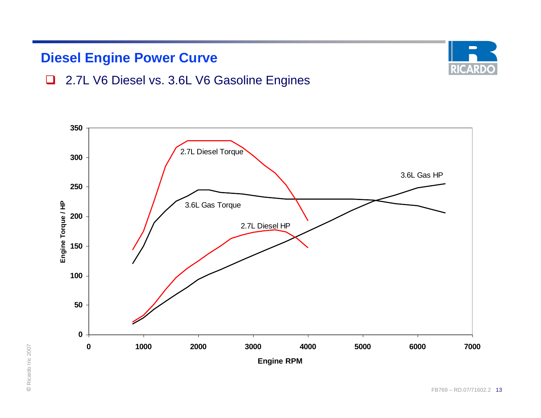## **Diesel Engine Power Curve**



### □ 2.7L V6 Diesel vs. 3.6L V6 Gasoline Engines

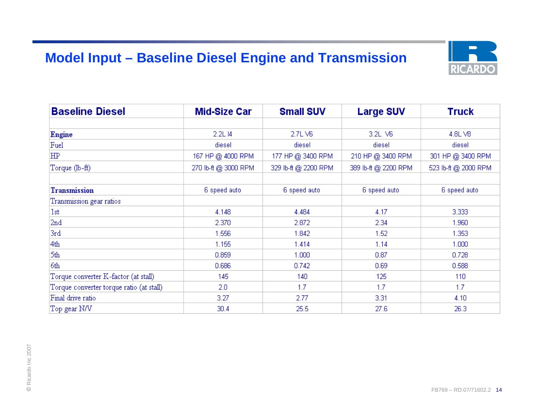## **Model Input – Baseline Diesel Engine and Transmission**



| <b>Baseline Diesel</b>                   | <b>Mid-Size Car</b>  | <b>Small SUV</b>     | <b>Large SUV</b>     | <b>Truck</b>         |
|------------------------------------------|----------------------|----------------------|----------------------|----------------------|
|                                          |                      |                      |                      |                      |
| Engine                                   | 2.2L I4              | 2.7LV6               | 3.2L V6              | 4.8LV8               |
| Fuel                                     | diesel               | diesel               | diesel               | diesel               |
| ΗP                                       | 167 HP @ 4000 RPM    | 177 HP @ 3400 RPM    | 210 HP @ 3400 RPM    | 301 HP @ 3400 RPM    |
| Torque (lb-ft)                           | 270 lb-ft @ 3000 RPM | 329 lb-ft @ 2200 RPM | 389 lb-ft @ 2200 RPM | 523 lb-ft @ 2000 RPM |
| <b>Transmission</b>                      | 6 speed auto         | 6 speed auto         | 6 speed auto         | 6 speed auto         |
| Transmission gear ratios                 |                      |                      |                      |                      |
| 1st                                      | 4.148                | 4.484                | 4.17                 | 3.333                |
| 2nd                                      | 2.370                | 2.872                | 2.34                 | 1.960                |
| 3rd                                      | 1.556                | 1.842                | 1.52                 | 1.353                |
| 4th                                      | 1.155                | 1.414                | 1.14                 | 1.000                |
| 5th                                      | 0.859                | 1.000                | 0.87                 | 0.728                |
| 6th                                      | 0.686                | 0.742                | 0.69                 | 0.588                |
| Torque converter K-factor (at stall)     | 145                  | 140                  | 125                  | 110                  |
| Torque converter torque ratio (at stall) | 2.0                  | 1.7                  | 1.7                  | 1.7                  |
| Final drive ratio                        | 3.27                 | 2.77                 | 3.31                 | 4.10                 |
| Top gear N/V                             | 30.4                 | 25.5                 | 27.6                 | 26.3                 |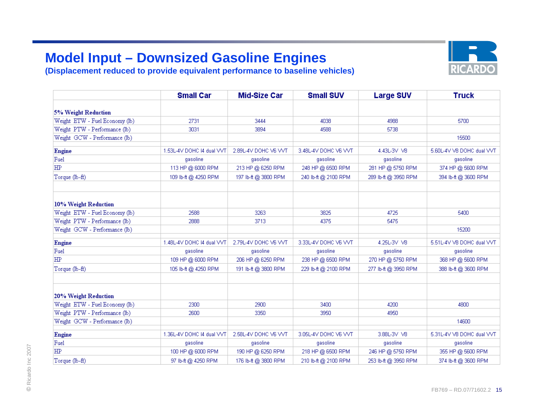## **Model Input – Downsized Gasoline Engines**

**(Displacement reduced to provide equivalent performance to baseline vehicles)**



|                                | <b>Small Car</b>          | <b>Mid-Size Car</b>  | <b>Small SUV</b>     | <b>Large SUV</b>     | <b>Truck</b>              |
|--------------------------------|---------------------------|----------------------|----------------------|----------------------|---------------------------|
| 5% Weight Reduction            |                           |                      |                      |                      |                           |
| Weight ETW - Fuel Economy (lb) | 2731                      | 3444                 | 4038                 | 4988                 | 5700                      |
| Weight PTW - Performance (lb)  | 3031                      | 3894                 | 4588                 | 5738                 |                           |
| Weight GCW - Performance (lb)  |                           |                      |                      |                      | 15500                     |
| Engine                         | 1.53L-4V DOHC I4 dual VVT | 2.89L-4V DOHC V6 VVT | 3.48L-4V DOHC V6 VVT | 4.43L-3V V8          | 5.60L-4V V8 DOHC dual VVT |
| Fuel                           | qasoline                  | qasoline             | qasoline             | gasoline             | gasoline                  |
| <b>HP</b>                      | 113 HP @ 6000 RPM         | 213 HP @ 6250 RPM    | 248 HP @ 6500 RPM    | 281 HP @ 5750 RPM    | 374 HP @ 5600 RPM         |
| Torque (lb-ft)                 | 109 lb-ft @ 4250 RPM      | 197 lb-ft @ 3800 RPM | 240 lb-ft @ 2100 RPM | 289 lb-ft @ 3950 RPM | 394 lb-ft @ 3600 RPM      |
| 10% Weight Reduction           |                           |                      |                      |                      |                           |
| Weight ETW - Fuel Economy (lb) | 2588                      | 3263                 | 3825                 | 4725                 | 5400                      |
| Weight PTW - Performance (lb)  | 2888                      | 3713                 | 4375                 | 5475                 |                           |
| Weight GCW - Performance (lb)  |                           |                      |                      |                      | 15200                     |
| Engine                         | 1.48L-4V DOHC I4 dual VVT | 2.79L-4V DOHC V6 VVT | 3.33L-4V DOHC V6 VVT | 4.25L-3V V8          | 5.51L-4V V8 DOHC dual VVT |
| Fuel                           | gasoline                  | gasoline             | gasoline             | gasoline             | gasoline                  |
| HP                             | 109 HP @ 6000 RPM         | 206 HP @ 6250 RPM    | 238 HP @ 6500 RPM    | 270 HP @ 5750 RPM    | 368 HP @ 5600 RPM         |
| Torque (lb-ft)                 | 105 lb-ft @ 4250 RPM      | 191 lb-ft @ 3800 RPM | 229 lb-ft @ 2100 RPM | 277 lb-ft @ 3950 RPM | 388 lb-ft @ 3600 RPM      |
| 20% Weight Reduction           |                           |                      |                      |                      |                           |
| Weight ETW - Fuel Economy (lb) | 2300                      | 2900                 | 3400                 | 4200                 | 4800                      |
| Weight PTW - Performance (lb)  | 2600                      | 3350                 | 3950                 | 4950                 |                           |
| Weight GCW - Performance (lb)  |                           |                      |                      |                      | 14600                     |
| Engine                         | 1.36L-4V DOHC I4 dual VVT | 2.58L-4V DOHC V6 VVT | 3.05L-4V DOHC V6 VVT | 3.88L-3V V8          | 5.31L-4V V8 DOHC dual VVT |
| Fuel                           | qasoline                  | qasoline             | qasoline             | qasoline             | qasoline                  |
| HP                             | 100 HP @ 6000 RPM         | 190 HP @ 6250 RPM    | 218 HP @ 6500 RPM    | 246 HP @ 5750 RPM    | 355 HP @ 5600 RPM         |
| Torque (lb-ft)                 | 97 lb-ft @ 4250 RPM       | 176 lb-ft @ 3800 RPM | 210 lb-ft @ 2100 RPM | 253 lb-ft @ 3950 RPM | 374 lb-ft @ 3600 RPM      |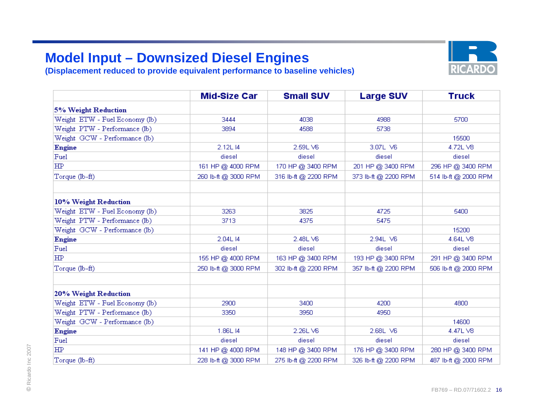## **Model Input – Downsized Diesel Engines**

**(Displacement reduced to provide equivalent performance to baseline vehicles)**



|                                | <b>Mid-Size Car</b>  | <b>Small SUV</b>     | <b>Large SUV</b>     | <b>Truck</b>         |
|--------------------------------|----------------------|----------------------|----------------------|----------------------|
| <b>5% Weight Reduction</b>     |                      |                      |                      |                      |
| Weight ETW - Fuel Economy (lb) | 3444                 | 4038                 | 4988                 | 5700                 |
| Weight PTW - Performance (lb)  | 3894                 | 4588                 | 5738                 |                      |
| Weight GCW - Performance (lb)  |                      |                      |                      | 15500                |
| Engine                         | 2.12L I4             | 2.59LV6              | 3.07L V6             | 4.72L V8             |
| Fuel                           | diesel               | diesel               | diesel               | diesel               |
| ΗP                             | 161 HP @ 4000 RPM    | 170 HP @ 3400 RPM    | 201 HP @ 3400 RPM    | 296 HP @ 3400 RPM    |
| Torque (lb-ft)                 | 260 lb-ft @ 3000 RPM | 316 lb-ft @ 2200 RPM | 373 lb-ft @ 2200 RPM | 514 lb-ft @ 2000 RPM |
| 10% Weight Reduction           |                      |                      |                      |                      |
| Weight ETW - Fuel Economy (lb) | 3263                 | 3825                 | 4725                 | 5400                 |
| Weight PTW - Performance (lb)  | 3713                 | 4375                 | 5475                 |                      |
| Weight GCW - Performance (lb)  |                      |                      |                      | 15200                |
| <b>Engine</b>                  | 2.04L14              | 2.48LV6              | 2.94L V6             | 4.64L V8             |
| Fuel                           | diesel               | diesel               | diesel               | diesel               |
| HP.                            | 155 HP @ 4000 RPM    | 163 HP @ 3400 RPM    | 193 HP @ 3400 RPM    | 291 HP @ 3400 RPM    |
| Torque (lb-ft)                 | 250 lb-ft @ 3000 RPM | 302 lb-ft @ 2200 RPM | 357 lb-ft @ 2200 RPM | 506 lb-ft @ 2000 RPM |
| 20% Weight Reduction           |                      |                      |                      |                      |
| Weight ETW - Fuel Economy (lb) | 2900                 | 3400                 | 4200                 | 4800                 |
| Weight PTW - Performance (lb)  | 3350                 | 3950                 | 4950                 |                      |
| Weight GCW - Performance (lb)  |                      |                      |                      | 14600                |
| Engine                         | 1.86L I4             | 2.26LV6              | 2.68L V6             | 4.47L V8             |
| Fuel                           | diesel               | diesel               | diesel               | diesel               |
| ΗP                             | 141 HP @ 4000 RPM    | 148 HP @ 3400 RPM    | 176 HP @ 3400 RPM    | 280 HP @ 3400 RPM    |
| Torque (lb-ft)                 | 228 lb-ft @ 3000 RPM | 275 lb-ft @ 2200 RPM | 326 lb-ft @ 2200 RPM | 487 lb-ft @ 2000 RPM |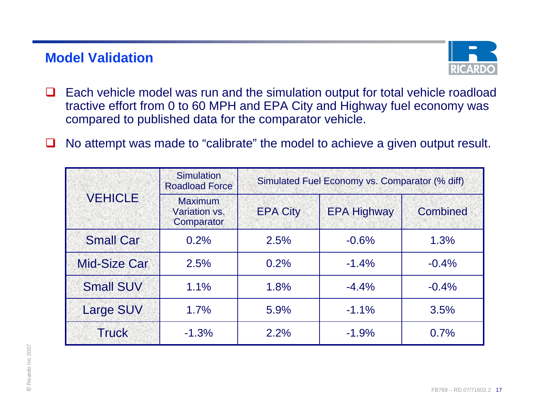## **Model Validation**



- $\Box$  Each vehicle model was run and the simulation output for total vehicle roadload tractive effort from 0 to 60 MPH and EPA City and Highway fuel economy was compared to published data for the comparator vehicle.
- ப No attempt was made to "calibrate" the model to achieve a given output result.

| <b>VEHICLE</b>      | <b>Roadload Force</b><br><b>Maximum</b><br>Variation vs.<br>Comparator | <b>EPA City</b> | <b>EPA Highway</b> | <b>Combined</b> |
|---------------------|------------------------------------------------------------------------|-----------------|--------------------|-----------------|
| <b>Small Car</b>    | 0.2%                                                                   | 2.5%            | $-0.6%$            | 1.3%            |
| <b>Mid-Size Car</b> | 2.5%                                                                   | 0.2%            | $-1.4%$            | $-0.4%$         |
| <b>Small SUV</b>    | 1.1%                                                                   | 1.8%            | $-4.4%$            | $-0.4%$         |
| <b>Large SUV</b>    | 1.7%                                                                   | 5.9%            | $-1.1%$            | 3.5%            |
| <b>Truck</b>        | $-1.3%$                                                                | 2.2%            | $-1.9%$            | 0.7%            |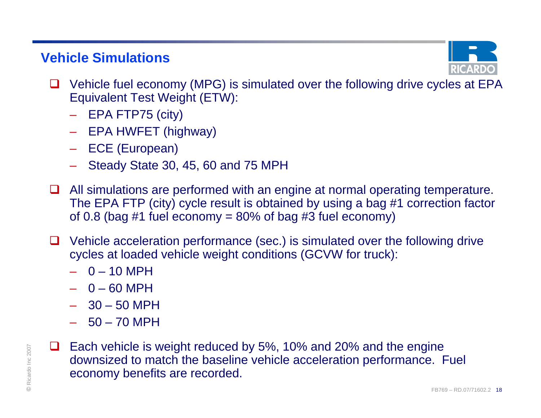## **Vehicle Simulations**



- $\Box$  Vehicle fuel economy (MPG) is simulated over the following drive cycles at EPA Equivalent Test Weight (ETW):
	- EPA FTP75 (city)
	- EPA HWFET (highway)
	- ECE (European)
	- Steady State 30, 45, 60 and 75 MPH
- **□** All simulations are performed with an engine at normal operating temperature. The EPA FTP (city) cycle result is obtained by using a bag #1 correction factor of 0.8 (bag #1 fuel economy =  $80\%$  of bag #3 fuel economy)
- ப Vehicle acceleration performance (sec.) is simulated over the following drive cycles at loaded vehicle weight conditions (GCVW for truck):
	- 0 10 MPH
	- 0 60 MPH
	- 30 50 MPH
	- 50 70 MPH
- $R_{\odot}$  Leach vehicle is weight reduced by 5%, 10% and 20% and the engine<br>downsized to match the baseline vehicle acceleration performance. Fuel<br>economy benefits are recorded. **□** Each vehicle is weight reduced by 5%, 10% and 20% and the engine downsized to match the baseline vehicle acceleration performance. Fuel economy benefits are recorded.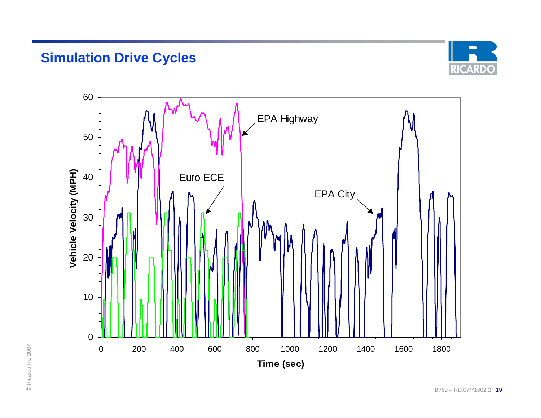## **Simulation Drive Cycles**



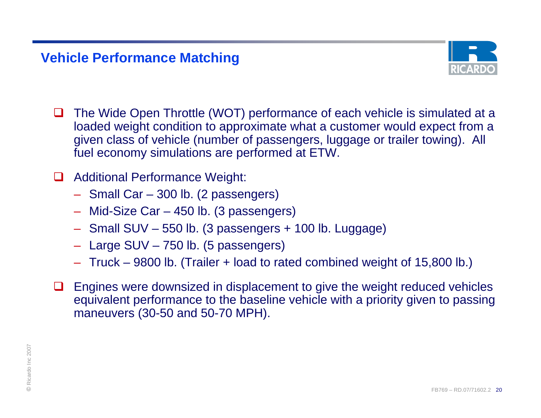## **Vehicle Performance Matching**



ப The Wide Open Throttle (WOT) performance of each vehicle is simulated at a loaded weight condition to approximate what a customer would expect from a given class of vehicle (number of passengers, luggage or trailer towing). All fuel economy simulations are performed at ETW.

#### $\Box$ Additional Performance Weight:

- Small Car 300 lb. (2 passengers)
- Mid-Size Car 450 lb. (3 passengers)
- Small SUV 550 lb. (3 passengers + 100 lb. Luggage)
- Large SUV 750 lb. (5 passengers)
- Truck 9800 lb. (Trailer + load to rated combined weight of 15,800 lb.)
- **□** Engines were downsized in displacement to give the weight reduced vehicles equivalent performance to the baseline vehicle with a priority given to passing maneuvers (30-50 and 50-70 MPH).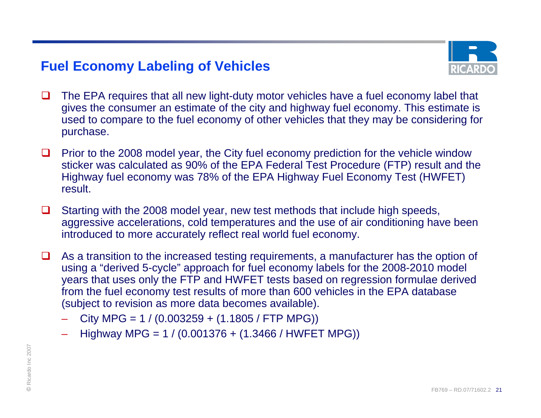## **Fuel Economy Labeling of Vehicles**



- $\Box$  The EPA requires that all new light-duty motor vehicles have a fuel economy label that gives the consumer an estimate of the city and highway fuel economy. This estimate is used to compare to the fuel economy of other vehicles that they may be considering for purchase.
- ◻ Prior to the 2008 model year, the City fuel economy prediction for the vehicle window sticker was calculated as 90% of the EPA Federal Test Procedure (FTP) result and the Highway fuel economy was 78% of the EPA Highway Fuel Economy Test (HWFET) result.
- $\Box$  Starting with the 2008 model year, new test methods that include high speeds, aggressive accelerations, cold temperatures and the use of air conditioning have been introduced to more accurately reflect real world fuel economy.
- ❏ As a transition to the increased testing requirements, a manufacturer has the option of using a "derived 5-cycle" approach for fuel economy labels for the 2008-2010 model years that uses only the FTP and HWFET tests based on regression formulae derived from the fuel economy test results of more than 600 vehicles in the EPA database (subject to revision as more data becomes available).
	- City MPG =  $1 / (0.003259 + (1.1805 / FTP MPG))$
	- Highway MPG = 1 / (0.001376 + (1.3466 / HWFET MPG))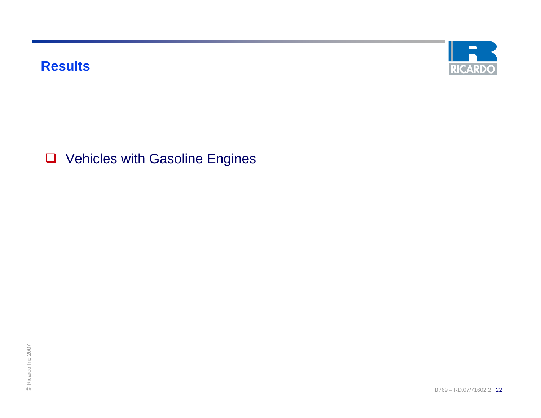**Results**



**Q** Vehicles with Gasoline Engines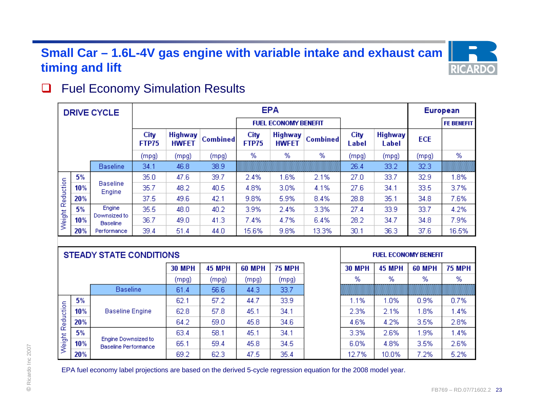## **Small Car – 1.6L-4V gas engine with variable intake and exhaust cam timing and lift**

#### $\Box$ Fuel Economy Simulation Results

|                  |     | <b>DRIVE CYCLE</b>              | <b>EPA</b>           |                                |                 |               |                                |                 |               |                         | <b>European</b> |                   |
|------------------|-----|---------------------------------|----------------------|--------------------------------|-----------------|---------------|--------------------------------|-----------------|---------------|-------------------------|-----------------|-------------------|
|                  |     |                                 |                      |                                |                 |               | <b>FUEL ECONOMY BENEFIT</b>    |                 |               |                         |                 | <b>FE BENEFIT</b> |
|                  |     |                                 | City<br><b>FTP75</b> | <b>Highway</b><br><b>HWFET</b> | <b>Combined</b> | City<br>FTP75 | <b>Highway</b><br><b>HWFET</b> | <b>Combined</b> | City<br>Label | <b>Highway</b><br>Label | <b>ECE</b>      |                   |
|                  |     |                                 | (mpg)                | (mpg)                          | (mpg)           | %             | %                              | %               | (mpg)         | (mpg)                   | (mpg)           | %                 |
|                  |     | <b>Baseline</b>                 | 34.1                 | 46.8                           | 38.9            |               |                                |                 | 26.4          | 33.2                    | 32.3            |                   |
|                  | 5%  |                                 | 35.0                 | 47.6                           | 39.7            | 2.4%          | 1.6%                           | 2.1%            | 27.0          | 33.7                    | 32.9            | 1.8%              |
|                  | 10% | <b>Baseline</b><br>Engine       | 35.7                 | 48.2                           | 40.5            | 4.8%          | 3.0%                           | 4.1%            | 27.6          | 34.1                    | 33.5            | 3.7%              |
|                  | 20% |                                 | 37.5                 | 49.6                           | 42.1            | 9.8%          | 5.9%                           | 8.4%            | 28.8          | 35.1                    | 34.8            | 7.6%              |
|                  | 5%  | Engine                          | 35.5                 | 48.0                           | 40.2            | 3.9%          | 2.4%                           | 3.3%            | 27.4          | 33.9                    | 33.7            | 4.2%              |
| Weight Reduction | 10% | Downsized to<br><b>Baseline</b> | 36.7                 | 49.0                           | 41.3            | 7.4%          | 4.7%                           | 6.4%            | 28.2          | 34.7                    | 34.8            | 7.9%              |
|                  | 20% | Performance                     | 39.4                 | 51.4                           | 44.0            | 15.6%         | 9.8%                           | 13.3%           | 30.1          | 36.3                    | 37.6            | 16.5%             |

| %<br>%<br>%<br>(mpg)<br>(mpg)<br>(mpg)<br>(mpg)<br><b>Baseline</b><br>44.3<br>56.6<br>33.7<br>61.4<br>5%<br>33.9<br>62.1<br>57.2<br>44.7<br>1.1%<br>1.0%<br>0.9%<br>Reduction<br>10%<br>57.8<br>45.1<br>34.1<br>2.3%<br><b>Baseline Engine</b><br>62.8<br>2.1%<br>1.8%<br>45.8<br>20%<br>64.2<br>34.6<br>4.6%<br>4.2%<br>3.5%<br>59.0<br>5%<br>34.1<br>3.3%<br>2.6%<br>63.4<br>58.1<br>45.1<br>1.9%<br>Weight<br>Engine Downsized to |  |     |  | <b>30 MPH</b> | <b>45 MPH</b> | <b>60 MPH</b> | <b>75 MPH</b> | <b>30 MPH</b> | <b>45 MPH</b> | <b>60 MPH</b> | <b>75 MPH</b> |
|--------------------------------------------------------------------------------------------------------------------------------------------------------------------------------------------------------------------------------------------------------------------------------------------------------------------------------------------------------------------------------------------------------------------------------------|--|-----|--|---------------|---------------|---------------|---------------|---------------|---------------|---------------|---------------|
|                                                                                                                                                                                                                                                                                                                                                                                                                                      |  |     |  |               |               |               |               |               |               |               | %             |
|                                                                                                                                                                                                                                                                                                                                                                                                                                      |  |     |  |               |               |               |               |               |               |               |               |
|                                                                                                                                                                                                                                                                                                                                                                                                                                      |  |     |  |               |               |               |               |               |               |               | 0.7%          |
|                                                                                                                                                                                                                                                                                                                                                                                                                                      |  |     |  |               |               |               |               |               |               |               | 1.4%          |
|                                                                                                                                                                                                                                                                                                                                                                                                                                      |  |     |  |               |               |               |               |               |               |               | 2.8%          |
|                                                                                                                                                                                                                                                                                                                                                                                                                                      |  |     |  |               |               |               |               |               |               |               | 1.4%          |
| <b>Baseline Performance</b>                                                                                                                                                                                                                                                                                                                                                                                                          |  | 10% |  | 65.1          | 59.4          | 45.8          | 34.5          | 6.0%          | 4.8%          | 3.5%          | 2.6%          |
| 47.5<br>35.4<br>62.3<br>12.7%<br>10.0%<br>7.2%<br>20%<br>69.2                                                                                                                                                                                                                                                                                                                                                                        |  |     |  |               |               |               |               |               |               |               | 5.2%          |
|                                                                                                                                                                                                                                                                                                                                                                                                                                      |  |     |  |               |               |               |               |               |               |               |               |

**RICAR**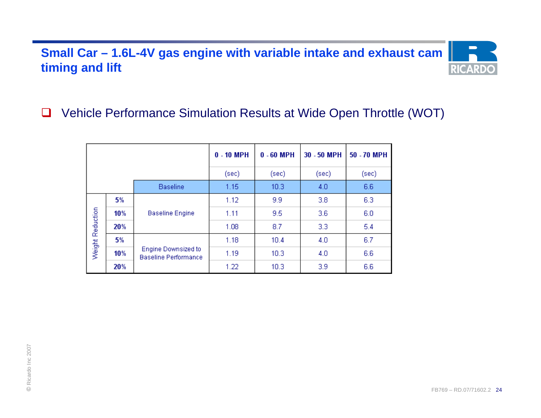## **Small Car – 1.6L-4V gas engine with variable intake and exhaust cam timing and lift**



#### ப Vehicle Performance Simulation Results at Wide Open Throttle (WOT)

|                  |     |                                                           | $0 - 10$ MPH | $0 - 60$ MPH      | 30 - 50 MPH | 50 - 70 MPH |
|------------------|-----|-----------------------------------------------------------|--------------|-------------------|-------------|-------------|
|                  |     |                                                           | (sec)        | (sec)             | (sec)       | (sec)       |
|                  |     | <b>Baseline</b>                                           | 1.15         | 10.3              | 4.0         | 6.6         |
|                  | 5%  |                                                           | 1.12         | 9.9               | 3.8         | 6.3         |
| Weight Reduction | 10% | <b>Baseline Engine</b>                                    | 1.11         | 9.5               | 3.6         | 6.0         |
|                  | 20% |                                                           | 1.08         | 8.7               | 3.3         | 5.4         |
|                  | 5%  |                                                           | 1.18         | 10.4              | 4.0         | 6.7         |
|                  | 10% | <b>Engine Downsized to</b><br><b>Baseline Performance</b> | 1.19         | 10.3 <sub>1</sub> | 4.0         | 6.6         |
|                  | 20% |                                                           | 1.22         | 10.3              | 3.9         | 6.6         |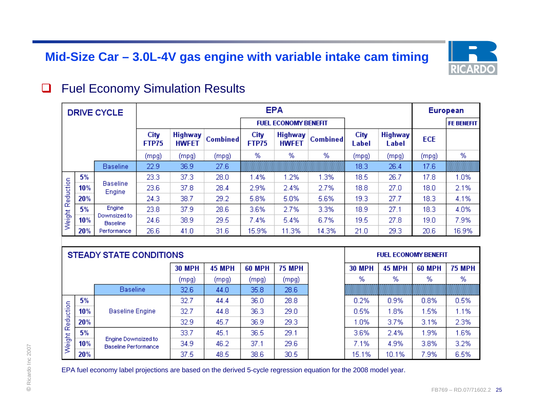## **Mid-Size Car – 3.0L-4V gas engine with variable intake cam timing**



#### $\Box$ Fuel Economy Simulation Results

|           |     | <b>DRIVE CYCLE</b>              | <b>EPA</b>           |                                |                 |                      |                                |                 |               |                         | European   |                   |
|-----------|-----|---------------------------------|----------------------|--------------------------------|-----------------|----------------------|--------------------------------|-----------------|---------------|-------------------------|------------|-------------------|
|           |     |                                 |                      |                                |                 |                      | <b>FUEL ECONOMY BENEFIT</b>    |                 |               |                         |            | <b>FE BENEFIT</b> |
|           |     |                                 | City<br><b>FTP75</b> | <b>Highway</b><br><b>HWFET</b> | <b>Combined</b> | City<br><b>FTP75</b> | <b>Highway</b><br><b>HWFET</b> | <b>Combined</b> | City<br>Label | <b>Highway</b><br>Label | <b>ECE</b> |                   |
|           |     |                                 | (mpg)                | (mpg)                          | (mpg)           | %                    | %                              | %               | (mpg)         | (mpg)                   | (mpg)      | %                 |
|           |     | <b>Baseline</b>                 | 22.9                 | 36.9                           | 27.6            |                      |                                |                 | 18.3          | 26.4                    | 17.6       |                   |
|           | 5%  |                                 | 23.3                 | 37.3                           | 28.0            | 1.4%                 | 1.2%                           | 1.3%            | 18.5          | 26.7                    | 17.8       | 1.0%              |
|           | 10% | <b>Baseline</b><br>Engine       | 23.6                 | 37.8                           | 28.4            | 2.9%                 | 2.4%                           | 2.7%            | 18.8          | 27.0                    | 18.0       | 2.1%              |
| Reduction | 20% |                                 | 24.3                 | 38.7                           | 29.2            | 5.8%                 | 5.0%                           | 5.6%            | 19.3          | 27.7                    | 18.3       | 4.1%              |
|           | 5%  | Engine                          | 23.8                 | 37.9                           | 28.6            | 3.6%                 | 2.7%                           | 3.3%            | 18.9          | 27.1                    | 18.3       | 4.0%              |
| Weight    | 10% | Downsized to<br><b>Baseline</b> | 24.6                 | 38.9                           | 29.5            | 7.4%                 | 5.4%                           | 6.7%            | 19.5          | 27.8                    | 19.0       | 7.9%              |
|           | 20% | Performance                     | 26.6                 | 41.0                           | 31.6            | 15.9%                | 11.3%                          | 14.3%           | 21.0          | 29.3                    | 20.6       | 16.9%             |

|           |     |                                                                       | <b>30 MPH</b> | <b>45 MPH</b> | <b>60 MPH</b> | <b>75 MPH</b>  | <b>30 MPH</b> | <b>45 MPH</b> | <b>60 MPH</b> | <b>75 MPH</b> |
|-----------|-----|-----------------------------------------------------------------------|---------------|---------------|---------------|----------------|---------------|---------------|---------------|---------------|
|           |     |                                                                       | (mpg)         | (mpg)         | (mpg)         | (mpg)          | %             | %             | %             | %             |
|           |     | <b>Baseline</b>                                                       | 32.6          | 44.0          | 35.8          | $28.6^{\circ}$ |               |               |               |               |
|           | 5%  |                                                                       | 32.7          | 44.4          | 36.0          | 28.8           | 0.2%          | 0.9%          | 0.8%          | 0.5%          |
| Reduction | 10% | <b>Baseline Engine</b><br>Engine Downsized to<br>Baseline Performance | 32.7          | 44.8          | 36.3          | 29.0           | 0.5%          | .8%           | 1.5%          | 1.1%          |
|           | 20% |                                                                       | 32.9          | 45.7          | 36.9          | 29.3           | 1.0%          | 3.7%          | 3.1%          | 2.3%          |
|           | 5%  |                                                                       | 33.7          | 45.1          | 36.5          | 29.1           | 3.6%          | 2.4%          | 1.9%          | 1.6%          |
| Weight I  | 10% |                                                                       | 34.9          | 46.2          | 37.1          | 29.6           | 7.1%          | 4.9%          | 3.8%          | 3.2%          |
|           | 20% |                                                                       | 37.5          | 48.5          | 38.6          | 30.5           | 15.1%         | 10.1%         | 7.9%          | 6.5%          |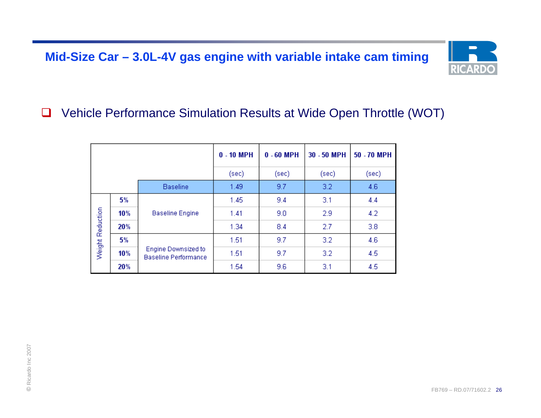## **Mid-Size Car – 3.0L-4V gas engine with variable intake cam timing**



#### $\Box$ Vehicle Performance Simulation Results at Wide Open Throttle (WOT)

|                  |     |                                                    | $0 - 10$ MPH | $0 - 60$ MPH | 30 - 50 MPH | 50 - 70 MPH |
|------------------|-----|----------------------------------------------------|--------------|--------------|-------------|-------------|
|                  |     |                                                    | (sec)        | (sec)        | (sec)       | (sec)       |
|                  |     | <b>Baseline</b>                                    | 1.49         | 9.7          | 3.2         | 4.6         |
|                  | 5%  |                                                    | 1.45         | 9.4          | 3.1         | 4.4         |
| Weight Reduction | 10% | <b>Baseline Engine</b>                             | 1.41         | 9.0          | 2.9         | 4.2         |
|                  | 20% |                                                    | 1.34         | 8.4          | 2.7         | 3.8         |
|                  | 5%  |                                                    | 1.51         | 9.7          | 3.2         | 4.6         |
|                  | 10% | Engine Downsized to<br><b>Baseline Performance</b> | 1.51         | 9.7          | 3.2         | 4.5         |
|                  | 20% |                                                    | 1.54         | 9.6          | 3.1         | 4.5         |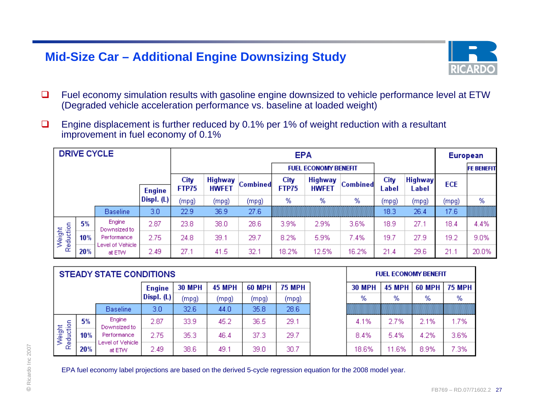### **Mid-Size Car – Additional Engine Downsizing Study**



- $\Box$  Fuel economy simulation results with gasoline engine downsized to vehicle performance level at ETW (Degraded vehicle acceleration performance vs. baseline at loaded weight)
- $\Box$  Engine displacement is further reduced by 0.1% per 1% of weight reduction with a resultant improvement in fuel economy of 0.1%

|                     |               | <b>DRIVE CYCLE</b>         |                  |               |                                |                 | <b>EPA</b>           |                                |                 |               |                         | European |                   |
|---------------------|---------------|----------------------------|------------------|---------------|--------------------------------|-----------------|----------------------|--------------------------------|-----------------|---------------|-------------------------|----------|-------------------|
|                     |               |                            |                  |               |                                |                 |                      | <b>FUEL ECONOMY BENEFIT</b>    |                 |               |                         |          | <b>FE BENEFIT</b> |
|                     | <b>Engine</b> |                            |                  | City<br>FTP75 | <b>Highway</b><br><b>HWFET</b> | <b>Combined</b> | City<br><b>FTP75</b> | <b>Highway</b><br><b>HWFET</b> | <b>Combined</b> | City<br>Label | <b>Highway</b><br>Label | ECE      |                   |
|                     |               | Displ. $(L)$               | (mpg)            | (mpg)         | (mpg)                          | %               | %                    | %                              | (mpg)           | (mpg)         | (mpg)                   | %        |                   |
|                     |               | <b>Baseline</b>            | 3.0 <sub>1</sub> | 22.9          | 36.9                           | 27.6            |                      |                                |                 | 18.3          | 26.4                    | 17.6     |                   |
|                     | 5%            | Engine<br>Downsized to     | 2.87             | 23.8          | 38.0                           | 28.6            | 3.9%                 | 2.9%                           | 3.6%            | 18.9          | 27.1                    | 18.4     | 4.4%              |
| Weight<br>Reduction | 10%           | Performance                | 2.75             | 24.8          | 39.1                           | 29.7            | 8.2%                 | 5.9%                           | 7.4%            | 19.7          | 27.9                    | 19.2     | 9.0%              |
|                     | 20%           | Level of Vehicle<br>at ETW | 2.49             | 27.1          | 41.5                           | 32.1            | 18.2%                | 12.5%                          | 16.2%           | 21.4          | 29.6                    | 21.1     | 20.0%             |

| (mpg)<br>(mpg)<br>(mpg)<br>(mpg)<br>35.8<br>28.6<br>3.0<br>32.6<br><b>Baseline</b><br>44.0<br>Engine<br>5%<br>2.87<br>29.1<br>33.9<br>45.2<br>36.5<br>4.1%<br>2.7%<br>Reduction<br>Downsized to | %<br>%       |
|-------------------------------------------------------------------------------------------------------------------------------------------------------------------------------------------------|--------------|
|                                                                                                                                                                                                 |              |
|                                                                                                                                                                                                 | 1.7%<br>2.1% |
| Weight<br>29.7<br>2.75<br>35.3<br>37.3<br>10%<br>5.4%<br>46.4<br>8.4%<br>Performance                                                                                                            | 3.6%<br>4.2% |
| Level of Vehicle<br>30.7<br>38.6<br>2.49<br>49.1<br>39.0<br>18.6%<br>11.6%<br>20%<br>at ETW                                                                                                     | 7.3%<br>8.9% |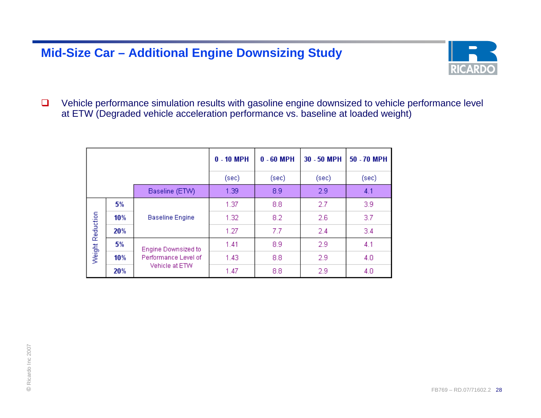### **Mid-Size Car – Additional Engine Downsizing Study**



 $\Box$  Vehicle performance simulation results with gasoline engine downsized to vehicle performance level at ETW (Degraded vehicle acceleration performance vs. baseline at loaded weight)

|                  |     |                            | $0 - 10$ MPH | $0 - 60$ MPH | 30 - 50 MPH | 50 - 70 MPH |
|------------------|-----|----------------------------|--------------|--------------|-------------|-------------|
|                  |     |                            | (sec)        | (sec)        | (sec)       | (sec)       |
|                  |     | Baseline (ETW)             | 1.39         | 8.9          | 2.9         | 4.1         |
|                  | 5%  |                            | 1.37         | 8.8          | 2.7         | 3.9         |
|                  | 10% | <b>Baseline Engine</b>     | 1.32         | 8.2          | 2.6         | 3.7         |
| Weight Reduction | 20% |                            | 1.27         | 7.7          | 2.4         | 3.4         |
|                  | 5%  | <b>Engine Downsized to</b> | 1.41         | 8.9          | 2.9         | 4.1         |
|                  | 10% | Performance Level of       | 1.43         | 8.8          | 2.9         | 4.0         |
|                  | 20% | Vehicle at ETW             | 1.47         | 8.8          | 2.9         | 4.0         |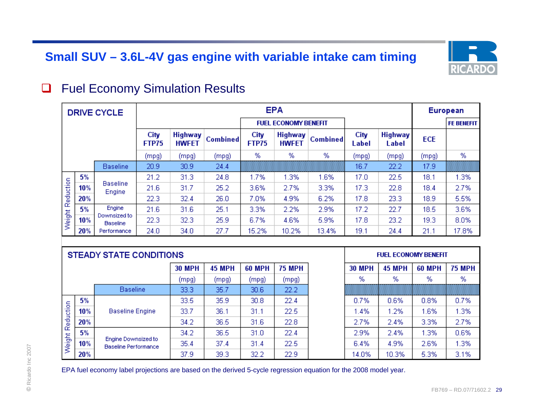## **Small SUV – 3.6L-4V gas engine with variable intake cam timing**



#### $\Box$ Fuel Economy Simulation Results

|           |     | <b>DRIVE CYCLE</b>              |                      |                                |                 |                      | <b>EPA</b>                     |                 |               |                         |            | European          |
|-----------|-----|---------------------------------|----------------------|--------------------------------|-----------------|----------------------|--------------------------------|-----------------|---------------|-------------------------|------------|-------------------|
|           |     |                                 |                      |                                |                 |                      | <b>FUEL ECONOMY BENEFIT</b>    |                 |               |                         |            | <b>FE BENEFIT</b> |
|           |     |                                 | City<br><b>FTP75</b> | <b>Highway</b><br><b>HWFET</b> | <b>Combined</b> | City<br><b>FTP75</b> | <b>Highway</b><br><b>HWFET</b> | <b>Combined</b> | City<br>Label | <b>Highway</b><br>Label | <b>ECE</b> |                   |
|           |     |                                 | (mpg)                | (mpg)                          | (mpg)           | %                    | %                              | %               | (mpg)         | (mpg)                   | (mpg)      | %                 |
|           |     | <b>Baseline</b>                 | 20.9                 | 30.9                           | 24.4            |                      |                                |                 | 16.7          | 22.2                    | 17.9       |                   |
|           | 5%  |                                 | 21.2                 | 31.3                           | 24.8            | 1.7%                 | 1.3%                           | 1.6%            | 17.0          | 22.5                    | 18.1       | 1.3%              |
|           | 10% | <b>Baseline</b><br>Engine       | 21.6                 | 31.7                           | 25.2            | 3.6%                 | 2.7%                           | 3.3%            | 17.3          | 22.8                    | 18.4       | 2.7%              |
| Reduction | 20% |                                 | 22.3                 | 32.4                           | 26.0            | 7.0%                 | 4.9%                           | 6.2%            | 17.8          | 23.3                    | 18.9       | 5.5%              |
|           | 5%  | Engine                          | 21.6                 | 31.6                           | 25.1            | 3.3%                 | 2.2%                           | 2.9%            | 17.2          | 22.7                    | 18.5       | 3.6%              |
| Weight    | 10% | Downsized to<br><b>Baseline</b> | 22.3                 | 32.3                           | 25.9            | 6.7%                 | 4.6%                           | 5.9%            | 17.8          | 23.2                    | 19.3       | 8.0%              |
|           | 20% | Performance                     | 24.0                 | 34.0                           | 27.7            | 15.2%                | 10.2%                          | 13.4%           | 19.1          | 24.4                    | 21.1       | 17.8%             |

|           |     |                                             | <b>30 MPH</b> | <b>45 MPH</b> | <b>60 MPH</b>     | <b>75 MPH</b> | <b>30 MPH</b> | <b>45 MPH</b> | <b>60 MPH</b> | <b>75 MPH</b> |
|-----------|-----|---------------------------------------------|---------------|---------------|-------------------|---------------|---------------|---------------|---------------|---------------|
|           |     |                                             | (mpg)         | (mpg)         | (mpg)             | (mpg)         | %             | %             | %             | %             |
|           |     | <b>Baseline</b>                             | 33.3          | 35.7          | 30.6              | 22.2          |               |               |               |               |
|           | 5%  |                                             | 33.5          | 35.9          | 30.8 <sub>1</sub> | 22.4          | 0.7%          | 0.6%          | 0.8%          | 0.7%          |
|           | 10% | <b>Baseline Engine</b>                      | 33.7          | 36.1          | 31.1              | 22.5          | 1.4%          | 1.2%          | 1.6%          | 1.3%          |
| Reduction | 20% |                                             | 34.2          | 36.5          | 31.6              | 22.8          | 2.7%          | 2.4%          | 3.3%          | 2.7%          |
|           | 5%  |                                             | 34.2          | 36.5          | 31.0              | 22.4          | 2.9%          | 2.4%          | 1.3%          | 0.6%          |
| Weight I  | 10% | Engine Downsized to<br>Baseline Performance | 35.4          | 37.4          | 31.4              | 22.5          | 6.4%          | 4.9%          | 2.6%          | 1.3%          |
|           | 20% |                                             | 37.9          | 39.3          | 32.2              | 22.9          | 14.0%         | 10.3%         | 5.3%          | 3.1%          |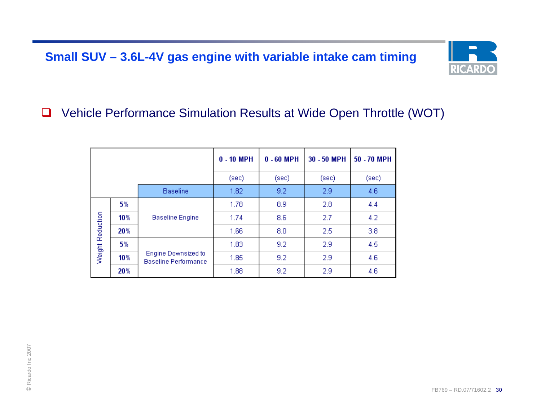## **Small SUV – 3.6L-4V gas engine with variable intake cam timing**



#### □ Vehicle Performance Simulation Results at Wide Open Throttle (WOT)

|                  |     |                                                    | $0 - 10$ MPH | $0 - 60$ MPH | 30 - 50 MPH | 50 - 70 MPH |
|------------------|-----|----------------------------------------------------|--------------|--------------|-------------|-------------|
|                  |     |                                                    | (sec)        | (sec)        | (sec)       | (sec)       |
|                  |     | <b>Baseline</b>                                    | 1.82         | 9.2          | 2.9         | 4.6         |
|                  | 5%  |                                                    | 1.78         | 8.9          | 2.8         | 4.4         |
|                  | 10% | <b>Baseline Engine</b>                             | 1.74         | 8.6          | 2.7         | 4.2         |
| Weight Reduction | 20% |                                                    | 1.66         | 8.0          | 2.5         | 3.8         |
|                  | 5%  |                                                    | 1.83         | 9.2          | 2.9         | 4.5         |
|                  | 10% | Engine Downsized to<br><b>Baseline Performance</b> | 1.85         | 9.2          | 2.9         | 4.6         |
|                  | 20% |                                                    | 1.88         | 9.2          | 2.9         | 4.6         |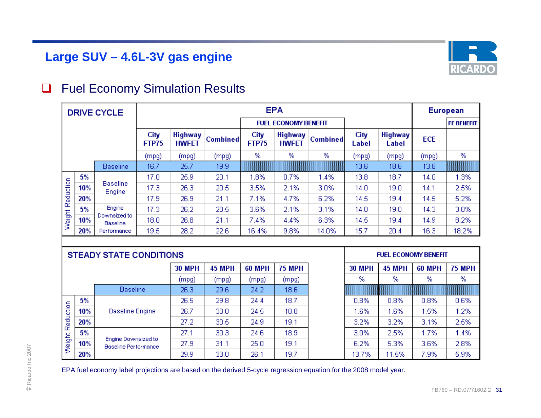## **Large SUV – 4.6L-3V gas engine**



#### $\Box$ Fuel Economy Simulation Results

|           |     | <b>DRIVE CYCLE</b>              |               |                                |                 |                      | <b>EPA</b>                     |                 |               |                         | European   |                   |  |
|-----------|-----|---------------------------------|---------------|--------------------------------|-----------------|----------------------|--------------------------------|-----------------|---------------|-------------------------|------------|-------------------|--|
|           |     |                                 |               |                                |                 |                      | <b>FUEL ECONOMY BENEFIT</b>    |                 |               |                         |            | <b>FE BENEFIT</b> |  |
|           |     |                                 | City<br>FTP75 | <b>Highway</b><br><b>HWFET</b> | <b>Combined</b> | City<br><b>FTP75</b> | <b>Highway</b><br><b>HWFET</b> | <b>Combined</b> | City<br>Label | <b>Highway</b><br>Label | <b>ECE</b> |                   |  |
|           |     |                                 | (mpg)         | (mpg)                          | (mpg)           | %                    | %                              | %               | (mpg)         | (mpg)                   | (mpg)      | %                 |  |
|           |     | <b>Baseline</b>                 | 16.7          | 25.7                           | 19.9            |                      |                                |                 | 13.6          | 18.6                    | 13.8       |                   |  |
|           | 5%  |                                 | 17.0          | 25.9                           | 20.1            | 1.8%                 | 0.7%                           | 1.4%            | 13.8          | 18.7                    | 14.0       | 1.3%              |  |
|           | 10% | <b>Baseline</b><br>Engine       | 17.3          | 26.3                           | 20.5            | 3.5%                 | 2.1%                           | 3.0%            | 14.0          | 19.0                    | 14.1       | 2.5%              |  |
| Reduction | 20% |                                 | 17.9          | 26.9                           | 21.1            | 7.1%                 | 4.7%                           | 6.2%            | 14.5          | 19.4                    | 14.5       | 5.2%              |  |
|           | 5%  | Engine                          | 17.3          | 26.2                           | 20.5            | 3.6%                 | 2.1%                           | 3.1%            | 14.0          | 19.0                    | 14.3       | 3.8%              |  |
| Weight    | 10% | Downsized to<br><b>Baseline</b> | 18.0          | 26.8                           | 21.1            | 7.4%                 | 4.4%                           | 6.3%            | 14.5          | 19.4                    | 14.9       | 8.2%              |  |
|           | 20% | Performance                     | 19.5          | 28.2                           | 22.6            | 16.4%                | 9.8%                           | 14.0%           | 15.7          | 20.4                    | 16.3       | 18.2%             |  |

|           |     |                                                    | <b>30 MPH</b> | <b>45 MPH</b>     | <b>60 MPH</b> | <b>75 MPH</b>     | <b>30 MPH</b> | <b>45 MPH</b> | <b>60 MPH</b> | <b>75 MPH</b> |
|-----------|-----|----------------------------------------------------|---------------|-------------------|---------------|-------------------|---------------|---------------|---------------|---------------|
|           |     |                                                    | (mpg)         | (mpg)             | (mpg)         | (mpg)             | ℅             | %             | %             | %             |
|           |     | <b>Baseline</b>                                    | 26.3          | 29.6              | 24.2          | 18.6 <sup>°</sup> |               |               |               |               |
|           | 5%  |                                                    | 26.5          | 29.8              | 24.4          | 18.7              | 0.8%          | 0.8%          | 0.8%          | 0.6%          |
|           | 10% | <b>Baseline Engine</b>                             | 26.7          | 30.0 <sub>1</sub> | 24.5          | 18.8              | 1.6%          | .6%           | 1.5%          | 1.2%          |
| Reduction | 20% |                                                    | 27.2          | 30.5              | 24.9          | 19.1              | 3.2%          | 3.2%          | 3.1%          | 2.5%          |
|           | 5%  |                                                    | 27.1          | 30.3              | 24.6          | 18.9              | 3.0%          | 2.5%          | 1.7%          | 1.4%          |
| Weight    | 10% | Engine Downsized to<br><b>Baseline Performance</b> | 27.9          | 31.1              | 25.0          | 19.1              | 6.2%          | 5.3%          | 3.6%          | 2.8%          |
|           | 20% |                                                    | 29.9          | 33.0              | 26.1          | 19.7              | 13.7%         | 11.5%         | 7.9%          | 5.9%          |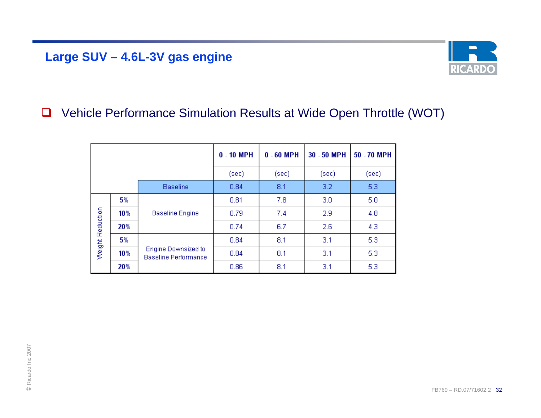## **Large SUV – 4.6L-3V gas engine**



#### $\Box$ Vehicle Performance Simulation Results at Wide Open Throttle (WOT)

|                  |     |                                                    | $0 - 10$ MPH | $0 - 60$ MPH | 30 - 50 MPH | 50 - 70 MPH |
|------------------|-----|----------------------------------------------------|--------------|--------------|-------------|-------------|
|                  |     |                                                    | (sec)        | (sec)        | (sec)       | (sec)       |
|                  |     | <b>Baseline</b>                                    | 0.84         | 8.1          | 3.2         | 5.3         |
|                  | 5%  |                                                    | 0.81         | 7.8          | 3.0         | 5.0         |
|                  | 10% | <b>Baseline Engine</b>                             | 0.79         | 7.4          | 2.9         | 4.8         |
| Weight Reduction | 20% |                                                    | 0.74         | 6.7          | 2.6         | 4.3         |
|                  | 5%  |                                                    | 0.84         | 8.1          | 3.1         | 5.3         |
|                  | 10% | Engine Downsized to<br><b>Baseline Performance</b> | 0.84         | 8.1          | 3.1         | 5.3         |
|                  | 20% |                                                    | 0.86         | 8.1          | 3.1         | 5.3         |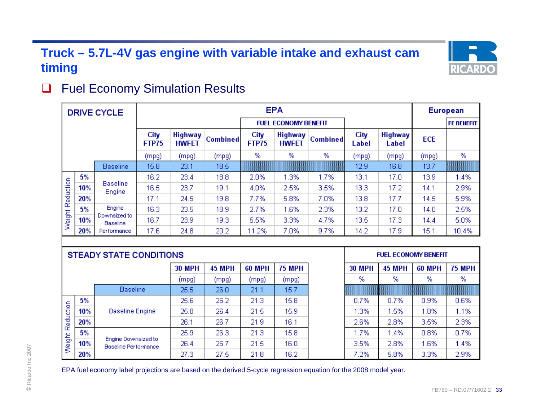## **Truck – 5.7L-4V gas engine with variable intake and exhaust cam timing**



#### $\Box$ Fuel Economy Simulation Results

|                  |     | <b>DRIVE CYCLE</b>              |                      |                                |                 |                      | <b>EPA</b>                     |                 |                   |                         | <b>European</b> |                   |  |
|------------------|-----|---------------------------------|----------------------|--------------------------------|-----------------|----------------------|--------------------------------|-----------------|-------------------|-------------------------|-----------------|-------------------|--|
|                  |     |                                 |                      |                                |                 |                      | <b>FUEL ECONOMY BENEFIT</b>    |                 |                   |                         |                 | <b>FE BENEFIT</b> |  |
|                  |     |                                 | City<br><b>FTP75</b> | <b>Highway</b><br><b>HWFET</b> | <b>Combined</b> | City<br><b>FTP75</b> | <b>Highway</b><br><b>HWFET</b> | <b>Combined</b> | City<br>Label     | <b>Highway</b><br>Label | <b>ECE</b>      |                   |  |
|                  |     |                                 | (mpg)                | (mpg)                          | (mpg)           | %                    | %                              | %               | (mpg)             | (mpg)                   | (mpg)           | %                 |  |
|                  |     | <b>Baseline</b>                 | 15.8                 | 23.1                           | 18.5            |                      |                                |                 | 12.9              | 16.8                    | 13.7            |                   |  |
|                  | 5%  |                                 | 16.2                 | 23.4                           | 18.8            | 2.0%                 | 1.3%                           | 1.7%            | 13.1              | 17.0                    | 13.9            | 1.4%              |  |
|                  | 10% | <b>Baseline</b><br>Engine       | 16.5                 | 23.7                           | 19.1            | 4.0%                 | 2.5%                           | 3.5%            | 13.3 <sub>1</sub> | 17.2                    | 14.1            | 2.9%              |  |
|                  | 20% |                                 | 17.1                 | 24.5                           | 19.8            | 7.7%                 | 5.8%                           | 7.0%            | 13.8              | 17.7                    | 14.5            | 5.9%              |  |
|                  | 5%  | Engine                          | 16.3                 | 23.5                           | 18.9            | 2.7%                 | 1.6%                           | 2.3%            | 13.2              | 17.0                    | 14.0            | 2.5%              |  |
| Weight Reduction | 10% | Downsized to<br><b>Baseline</b> | 16.7                 | 23.9                           | 19.3            | 5.5%                 | 3.3%                           | 4.7%            | 13.5              | 17.3                    | 14.4            | 5.0%              |  |
|                  | 20% | Performance                     | 17.6                 | 24.8                           | 20.2            | 11.2%                | 7.0%                           | 9.7%            | 14.2              | 17.9                    | 15.1            | 10.4%             |  |

|           |     |                                             | <b>30 MPH</b> | <b>45 MPH</b> | <b>60 MPH</b> | <b>75 MPH</b>     | <b>30 MPH</b> | <b>45 MPH</b> | <b>60 MPH</b> | <b>75 MPH</b> |
|-----------|-----|---------------------------------------------|---------------|---------------|---------------|-------------------|---------------|---------------|---------------|---------------|
|           |     |                                             | (mpg)         | (mpg)         | (mpg)         | (mpg)             | %             | %             | %             | %             |
|           |     | <b>Baseline</b>                             | 25.5          | 26.0          | 21.1          | 15.7              |               |               |               |               |
|           | 5%  |                                             | 25.6          | 26.2          | 21.3          | 15.8              | 0.7%          | 0.7%          | 0.9%          | 0.6%          |
|           | 10% | <b>Baseline Engine</b>                      | 25.8          | 26.4          | 21.5          | 15.9              | 1.3%          | .5%           | 1.8%          | 1.1%          |
| Reduction | 20% |                                             | 26.1          | 26.7          | 21.9          | 16.1              | 2.6%          | 2.8%          | 3.5%          | 2.3%          |
|           | 5%  |                                             | 25.9          | 26.3          | 21.3          | 15.8 <sub>1</sub> | 1.7%          | .4%           | 0.8%          | 0.7%          |
| Weight I  | 10% | Engine Downsized to<br>Baseline Performance | 26.4          | 26.7          | 21.5          | 16.0              | 3.5%          | 2.8%          | 1.6%          | 1.4%          |
|           | 20% |                                             | 27.3          | 27.5          | 21.8          | 16.2              | 7.2%          | 5.8%          | 3.3%          | 2.9%          |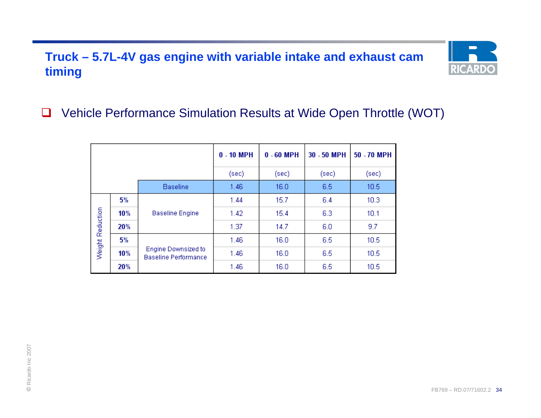## **Truck – 5.7L-4V gas engine with variable intake and exhaust cam timing**



#### □ Vehicle Performance Simulation Results at Wide Open Throttle (WOT)

|                  |     |                                                    | $0 - 10$ MPH | $0 - 60$ MPH | 30 - 50 MPH | 50 - 70 MPH |
|------------------|-----|----------------------------------------------------|--------------|--------------|-------------|-------------|
|                  |     |                                                    | (sec).       | (sec)        | (sec)       | (sec)       |
|                  |     | <b>Baseline</b>                                    | 1.46         | 16.0         | 6.5         | 10.5        |
|                  | 5%  |                                                    | 1.44         | 15.7         | 6.4         | 10.3        |
|                  | 10% | <b>Baseline Engine</b>                             | 1.42         | 15.4         | 6.3         | 10.1        |
| Weight Reduction | 20% |                                                    | 1.37         | 14.7         | 6.0         | 9.7         |
|                  | 5%  |                                                    | 1.46         | 16.0         | 6.5         | 10.5        |
|                  | 10% | Engine Downsized to<br><b>Baseline Performance</b> | 1.46         | 16.0         | 6.5         | 10.5        |
|                  | 20% |                                                    | 1.46         | 16.0         | 6.5         | 10.5        |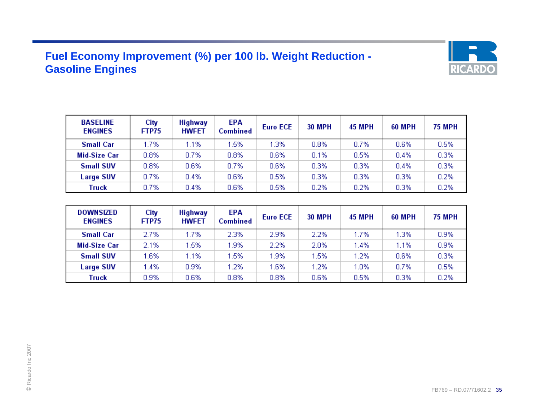### **Fuel Economy Improvement (%) per 100 lb. Weight Reduction - Gasoline Engines**



| <b>BASELINE</b><br><b>ENGINES</b> | City<br>FTP75 | <b>Highway</b><br><b>HWFET</b> | <b>EPA</b><br><b>Combined</b> | <b>Euro ECE</b> | <b>30 MPH</b> | <b>45 MPH</b> | <b>60 MPH</b> | <b>75 MPH</b> |
|-----------------------------------|---------------|--------------------------------|-------------------------------|-----------------|---------------|---------------|---------------|---------------|
| <b>Small Car</b>                  | 1.7%          | 1.1%                           | .5%                           | .3%             | 0.8%          | 0.7%          | 0.6%          | 0.5%          |
| <b>Mid-Size Car</b>               | 0.8%          | 0.7%                           | $0.8\%$                       | 0.6%            | 0.1%          | 0.5%          | 0.4%          | 0.3%          |
| <b>Small SUV</b>                  | 0.8%          | 0.6%                           | 0.7%                          | 0.6%            | 0.3%          | 0.3%          | 0.4%          | 0.3%          |
| <b>Large SUV</b>                  | 0.7%          | 0.4%                           | 0.6%                          | 0.5%            | 0.3%          | 0.3%          | 0.3%          | 0.2%          |
| Truck                             | 0.7%          | 0.4%                           | 0.6%                          | 0.5%            | 0.2%          | 0.2%          | 0.3%          | 0.2%          |

| DOWNSIZED<br><b>ENGINES</b> | City<br>FTP75 | <b>Highway</b><br><b>HWFET</b> | EPA<br>Combined | <b>Euro ECE</b> | <b>30 MPH</b> | <b>45 MPH</b> | <b>60 MPH</b> | <b>75 MPH</b> |
|-----------------------------|---------------|--------------------------------|-----------------|-----------------|---------------|---------------|---------------|---------------|
| <b>Small Car</b>            | 2.7%          | 1.7%                           | 2.3%            | 2.9%            | 2.2%          | 1.7%          | 1.3%          | 0.9%          |
| Mid-Size Car                | 2.1%          | 1.5%                           | .9%             | 2.2%            | 2.0%          | 1.4%          | 1.1%          | 0.9%          |
| <b>Small SUV</b>            | 1.6%          | 1.1%                           | .5%             | 1.9%            | 1.5%          | 1.2%          | 0.6%          | 0.3%          |
| <b>Large SUV</b>            | 1.4%          | 0.9%                           | $2\%$           | 1.6%            | 1.2%          | 1.0%          | 0.7%          | 0.5%          |
| Truck                       | 0.9%          | 0.6%                           | 0.8%            | 0.8%            | 0.6%          | 0.5%          | 0.3%          | 0.2%          |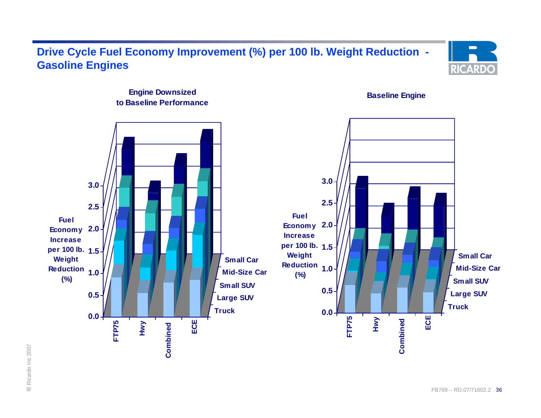### **Drive Cycle Fuel Economy Improvement (%) per 100 lb. Weight Reduction - Gasoline Engines**



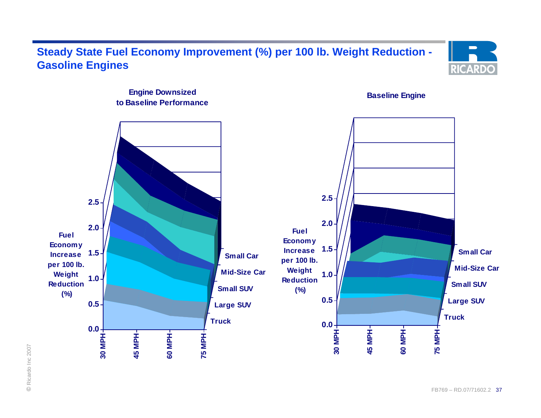### **Steady State Fuel Economy Improvement (%) per 100 lb. Weight Reduction - Gasoline Engines**





© Ricardo Inc 2007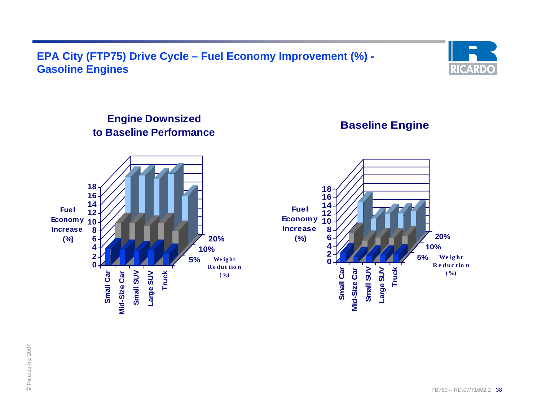### **EPA City (FTP75) Drive Cycle – Fuel Economy Improvement (%) - Gasoline Engines**



### **Engine Downsized to Baseline Performance**

**Baseline Engine**

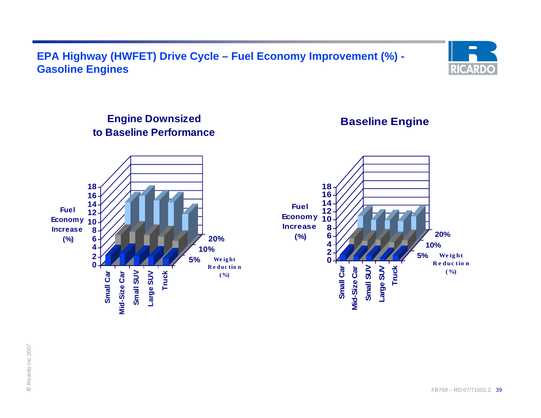### **EPA Highway (HWFET) Drive Cycle – Fuel Economy Improvement (%) - Gasoline Engines**



### **Engine Downsized to Baseline Performance**

### **Baseline Engine**



© Ricardo Inc 2007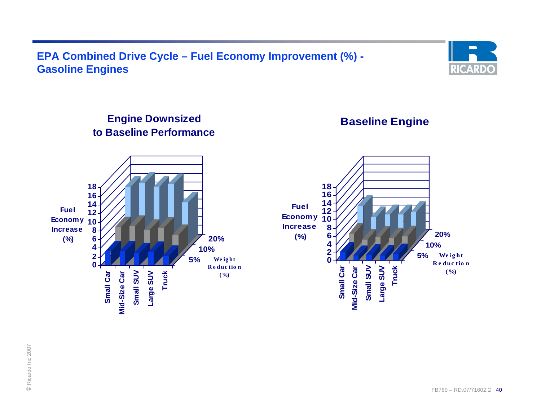### **EPA Combined Drive Cycle – Fuel Economy Improvement (%) - Gasoline Engines**



### **Engine Downsized to Baseline Performance**

### **Baseline Engine**

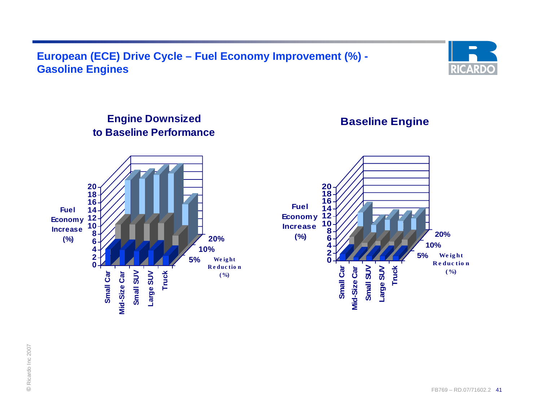### **European (ECE) Drive Cycle – Fuel Economy Improvement (%) - Gasoline Engines**



### **Engine Downsized to Baseline Performance**

### **Baseline Engine**

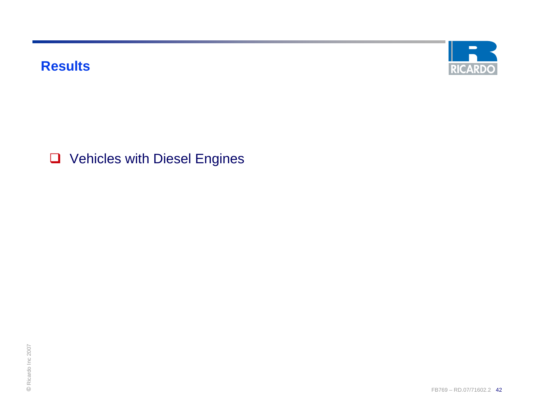**Results**



**Q** Vehicles with Diesel Engines

RICA<br>Presidente de la Carlo III de la Carlo III de la Carlo III de la Carlo III de la Carlo III de la Carlo II<br>Incremente de la Carlo III de la Carlo III de la Carlo III de la Carlo III de la Carlo III de la Carlo III de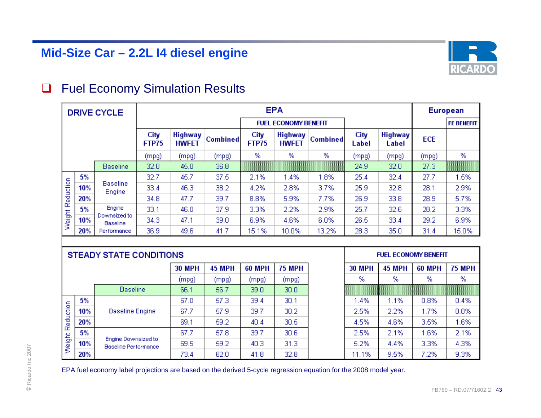

#### $\Box$ Fuel Economy Simulation Results

|           |     | <b>DRIVE CYCLE</b>              |               |                                |                 |                      | <b>EPA</b>                     |                 |               |                         |            | European          |
|-----------|-----|---------------------------------|---------------|--------------------------------|-----------------|----------------------|--------------------------------|-----------------|---------------|-------------------------|------------|-------------------|
|           |     |                                 |               |                                |                 |                      | <b>FUEL ECONOMY BENEFIT</b>    |                 |               |                         |            | <b>FE BENEFIT</b> |
|           |     |                                 | City<br>FTP75 | <b>Highway</b><br><b>HWFET</b> | <b>Combined</b> | City<br><b>FTP75</b> | <b>Highway</b><br><b>HWFET</b> | <b>Combined</b> | City<br>Label | <b>Highway</b><br>Label | <b>ECE</b> |                   |
|           |     |                                 | (mpg)         | (mpg)                          | (mpg)           | %                    | %                              | %               | (mpg)         | (mpg)                   | (mpg)      | %                 |
|           |     | <b>Baseline</b>                 | 32.0          | 45.0                           | 36.8            |                      |                                |                 | 24.9          | 32.0                    | 27.3       |                   |
|           | 5%  |                                 | 32.7          | 45.7                           | 37.5            | 2.1%                 | 1.4%                           | 1.8%            | 25.4          | 32.4                    | 27.7       | 1.5%              |
|           | 10% | <b>Baseline</b><br>Engine       | 33.4          | 46.3                           | 38.2            | 4.2%                 | 2.8%                           | 3.7%            | 25.9          | 32.8                    | 28.1       | 2.9%              |
| Reduction | 20% |                                 | 34.8          | 47.7                           | 39.7            | 8.8%                 | 5.9%                           | 7.7%            | 26.9          | 33.8                    | 28.9       | 5.7%              |
|           | 5%  | Engine                          | 33.1          | 46.0                           | 37.9            | 3.3%                 | 2.2%                           | 2.9%            | 25.7          | 32.6                    | 28.2       | 3.3%              |
| Weight    | 10% | Downsized to<br><b>Baseline</b> | 34.3          | 47.1                           | 39.0            | 6.9%                 | 4.6%                           | 6.0%            | 26.5          | 33.4                    | 29.2       | 6.9%              |
|           | 20% | Performance                     | 36.9          | 49.6                           | 41.7            | 15.1%                | 10.0%                          | 13.2%           | 28.3          | 35.0                    | 31.4       | 15.0%             |

|           |     |                                             | <b>30 MPH</b> | <b>45 MPH</b> | <b>60 MPH</b> | <b>75 MPH</b>     | <b>30 MPH</b> | <b>45 MPH</b> | <b>60 MPH</b> | <b>75 MPH</b> |
|-----------|-----|---------------------------------------------|---------------|---------------|---------------|-------------------|---------------|---------------|---------------|---------------|
|           |     |                                             | (mpg)         | (mpg)         | (mpg)         | (mpg)             | %             | %             | %             | %             |
|           |     | <b>Baseline</b>                             | 66.1          | 56.7          | 39.0          | 30.0 <sub>1</sub> |               |               |               |               |
|           | 5%  |                                             | 67.0          | 57.3          | 39.4          | 30.1              | 1.4%          | 1.1%          | 0.8%          | 0.4%          |
|           | 10% | <b>Baseline Engine</b>                      | 67.7          | 57.9          | 39.7          | 30.2 <sub>1</sub> | 2.5%          | 2.2%          | 1.7%          | 0.8%          |
| Reduction | 20% |                                             | 69.1          | 59.2          | 40.4          | 30.5              | 4.5%          | 4.6%          | 3.5%          | 1.6%          |
|           | 5%  |                                             | 67.7          | 57.8          | 39.7          | 30.6 <sub>1</sub> | 2.5%          | 2.1%          | 1.6%          | 2.1%          |
| Weight I  | 10% | Engine Downsized to<br>Baseline Performance | 69.5          | 59.2          | 40.3          | 31.3              | 5.2%          | 4.4%          | 3.3%          | 4.3%          |
|           | 20% |                                             | 73.4          | 62.0          | 41.8          | 32.8              | 11.1%         | 9.5%          | 7.2%          | 9.3%          |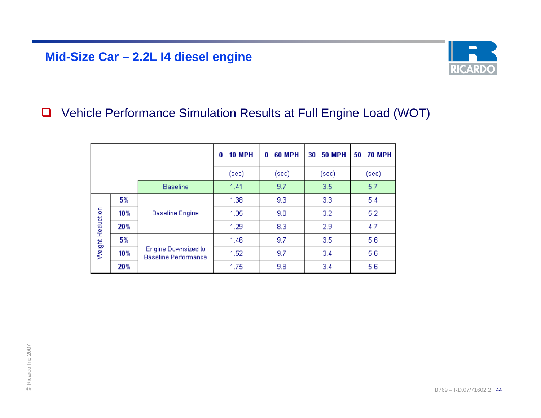### **Mid-Size Car – 2.2L I4 diesel engine**



#### $\Box$ Vehicle Performance Simulation Results at Full Engine Load (WOT)

|                  |     |                                                    | $0 - 10$ MPH | $0 - 60$ MPH | 30 - 50 MPH | 50 - 70 MPH |
|------------------|-----|----------------------------------------------------|--------------|--------------|-------------|-------------|
|                  |     |                                                    | (sec)        | (sec)        | (sec)       | (sec)       |
|                  |     | <b>Baseline</b>                                    | 1.41         | 9.7          | 3.5         | 5.7         |
|                  | 5%  |                                                    | 1.38         | 9.3          | 3.3         | 5.4         |
|                  | 10% | <b>Baseline Engine</b>                             | 1.35         | 9.0          | 3.2         | 5.2         |
| Weight Reduction | 20% |                                                    | 1.29         | 8.3          | 2.9         | 4.7         |
|                  | 5%  |                                                    | 1.46         | 9.7          | 3.5         | 5.6         |
|                  | 10% | Engine Downsized to<br><b>Baseline Performance</b> | 1.52         | 9.7          | 3.4         | 5.6         |
|                  | 20% |                                                    | 1.75         | 9.8          | 3.4         | 5.6         |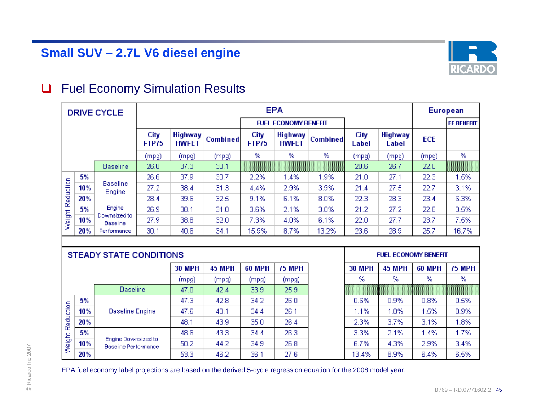

#### $\Box$ Fuel Economy Simulation Results

|           |     | <b>DRIVE CYCLE</b>              |               |                                |                 |                      | <b>EPA</b>                     |                 |               |                         |            | European          |
|-----------|-----|---------------------------------|---------------|--------------------------------|-----------------|----------------------|--------------------------------|-----------------|---------------|-------------------------|------------|-------------------|
|           |     |                                 |               |                                |                 |                      | <b>FUEL ECONOMY BENEFIT</b>    |                 |               |                         |            | <b>FE BENEFIT</b> |
|           |     |                                 | City<br>FTP75 | <b>Highway</b><br><b>HWFET</b> | <b>Combined</b> | City<br><b>FTP75</b> | <b>Highway</b><br><b>HWFET</b> | <b>Combined</b> | City<br>Label | <b>Highway</b><br>Label | <b>ECE</b> |                   |
|           |     |                                 | (mpg)         | (mpg)                          | (mpg)           | %                    | %                              | %               | (mpg)         | (mpg)                   | (mpg)      | %                 |
|           |     | <b>Baseline</b>                 | 26.0          | 37.3                           | 30.1            |                      |                                |                 | 20.6          | 26.7                    | 22.0       |                   |
|           | 5%  |                                 | 26.6          | 37.9                           | 30.7            | 2.2%                 | 1.4%                           | 1.9%            | 21.0          | 27.1                    | 22.3       | 1.5%              |
|           | 10% | <b>Baseline</b><br>Engine       | 27.2          | 38.4                           | 31.3            | 4.4%                 | 2.9%                           | 3.9%            | 21.4          | 27.5                    | 22.7       | 3.1%              |
| Reduction | 20% |                                 | 28.4          | 39.6                           | 32.5            | 9.1%                 | 6.1%                           | 8.0%            | 22.3          | 28.3                    | 23.4       | 6.3%              |
|           | 5%  | Engine                          | 26.9          | 38.1                           | 31.0            | 3.6%                 | 2.1%                           | 3.0%            | 21.2          | 27.2                    | 22.8       | 3.5%              |
| Weight    | 10% | Downsized to<br><b>Baseline</b> | 27.9          | 38.8                           | 32.0            | 7.3%                 | 4.0%                           | 6.1%            | 22.0          | 27.7                    | 23.7       | 7.5%              |
|           | 20% | Performance                     | 30.1          | 40.6                           | 34.1            | 15.9%                | 8.7%                           | 13.2%           | 23.6          | 28.9                    | 25.7       | 16.7%             |

|           |     |                                             | <b>30 MPH</b> | <b>45 MPH</b> | <b>60 MPH</b> | <b>75 MPH</b> | <b>30 MPH</b> | <b>45 MPH</b> | <b>60 MPH</b> | <b>75 MPH</b> |
|-----------|-----|---------------------------------------------|---------------|---------------|---------------|---------------|---------------|---------------|---------------|---------------|
|           |     |                                             | (mpg)         | (mpg)         | (mpg)         | (mpg)         | %             | %             | %             | %             |
|           |     | <b>Baseline</b>                             | 47.0          | 42.4          | 33.9          | 25.9          |               |               |               |               |
|           | 5%  |                                             | 47.3          | 42.8          | 34.2          | 26.0          | 0.6%          | 0.9%          | 0.8%          | 0.5%          |
|           | 10% | <b>Baseline Engine</b>                      | 47.6          | 43.1          | 34.4          | 26.1          | 1.1%          | .8%           | 1.5%          | 0.9%          |
| Reduction | 20% |                                             | 48.1          | 43.9          | 35.0          | 26.4          | 2.3%          | 3.7%          | 3.1%          | 1.8%          |
|           | 5%  |                                             | 48.6          | 43.3          | 34.4          | 26.3          | 3.3%          | 2.1%          | 1.4%          | 1.7%          |
| Weight I  | 10% | Engine Downsized to<br>Baseline Performance | 50.2          | 44.2          | 34.9          | 26.8          | 6.7%          | 4.3%          | 2.9%          | 3.4%          |
|           | 20% |                                             | 53.3          | 46.2          | 36.1          | 27.6          | 13.4%         | 8.9%          | 6.4%          | 6.5%          |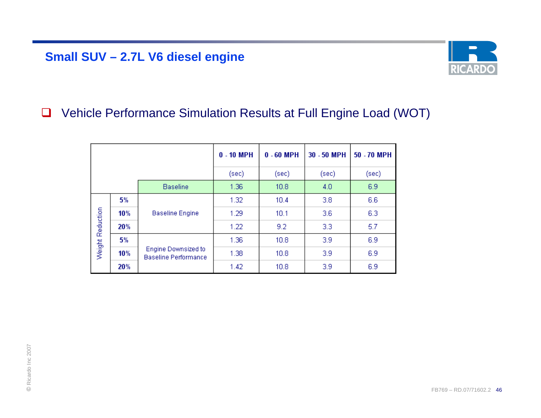### **Small SUV – 2.7L V6 diesel engine**



#### $\Box$ Vehicle Performance Simulation Results at Full Engine Load (WOT)

|                  |     |                                                    | $0 - 10$ MPH | $0 - 60$ MPH | 30 - 50 MPH | 50 - 70 MPH |
|------------------|-----|----------------------------------------------------|--------------|--------------|-------------|-------------|
|                  |     |                                                    | (sec)        | (sec)        | (sec)       | (sec)       |
|                  |     | <b>Baseline</b>                                    | 1.36         | 10.8         | 4.0         | 6.9         |
|                  | 5%  |                                                    | 1.32         | 10.4         | 3.8         | 6.6         |
|                  | 10% | <b>Baseline Engine</b>                             | 1.29         | 10.1         | 3.6         | 6.3         |
| Weight Reduction | 20% |                                                    | 1.22         | 9.2          | 3.3         | 5.7         |
|                  | 5%  |                                                    | 1.36         | 10.8         | 3.9         | 6.9         |
|                  | 10% | Engine Downsized to<br><b>Baseline Performance</b> | 1.38         | 10.8         | 3.9         | 6.9         |
|                  | 20% |                                                    | 1.42         | 10.8         | 3.9         | 6.9         |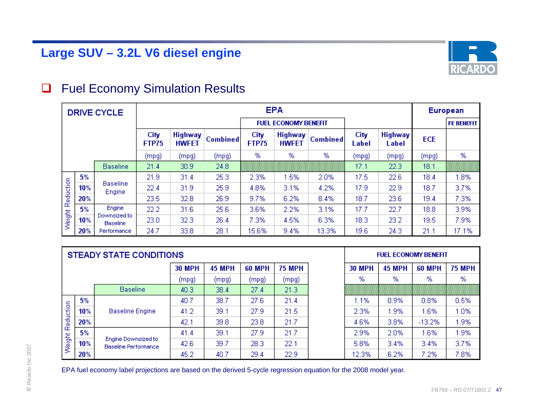

#### $\Box$ Fuel Economy Simulation Results

|           |     | <b>DRIVE CYCLE</b>              |               |                                |                 | <b>EPA</b>           |                                |                 |               |                         |            | European          |  |
|-----------|-----|---------------------------------|---------------|--------------------------------|-----------------|----------------------|--------------------------------|-----------------|---------------|-------------------------|------------|-------------------|--|
|           |     |                                 |               |                                |                 |                      | <b>FUEL ECONOMY BENEFIT</b>    |                 |               |                         |            | <b>FE BENEFIT</b> |  |
|           |     |                                 | City<br>FTP75 | <b>Highway</b><br><b>HWFET</b> | <b>Combined</b> | City<br><b>FTP75</b> | <b>Highway</b><br><b>HWFET</b> | <b>Combined</b> | City<br>Label | <b>Highway</b><br>Label | <b>ECE</b> |                   |  |
|           |     |                                 | (mpg)         | (mpg)                          | (mpg)           | %                    | %                              | %               | (mpg)         | (mpg)                   | (mpg)      | %                 |  |
|           |     | <b>Baseline</b>                 | 21.4          | 30.9                           | 24.8            |                      |                                |                 | 17.1          | 22.3                    | 18.1       |                   |  |
|           | 5%  |                                 | 21.9          | 31.4                           | 25.3            | 2.3%                 | 1.5%                           | 2.0%            | 17.5          | 22.6                    | 18.4       | 1.8%              |  |
|           | 10% | <b>Baseline</b><br>Engine       | 22.4          | 31.9                           | 25.9            | 4.8%                 | 3.1%                           | 4.2%            | 17.9          | 22.9                    | 18.7       | 3.7%              |  |
| Reduction | 20% |                                 | 23.5          | 32.8                           | 26.9            | 9.7%                 | 6.2%                           | 8.4%            | 18.7          | 23.6                    | 19.4       | 7.3%              |  |
|           | 5%  | Engine                          | 22.2          | 31.6                           | 25.6            | 3.6%                 | 2.2%                           | 3.1%            | 17.7          | 22.7                    | 18.8       | 3.9%              |  |
| Weight    | 10% | Downsized to<br><b>Baseline</b> | 23.0          | 32.3                           | 26.4            | 7.3%                 | 4.5%                           | 6.3%            | 18.3          | 23.2                    | 19.5       | 7.9%              |  |
|           | 20% | Performance                     | 24.7          | 33.8                           | 28.1            | 15.6%                | 9.4%                           | 13.3%           | 19.6          | 24.3                    | 21.1       | 17.1%             |  |

|           |     |                                             | <b>30 MPH</b> | <b>45 MPH</b> | <b>60 MPH</b> | <b>75 MPH</b> | <b>30 MPH</b> | <b>45 MPH</b> | <b>60 MPH</b> | <b>75 MPH</b> |
|-----------|-----|---------------------------------------------|---------------|---------------|---------------|---------------|---------------|---------------|---------------|---------------|
|           |     |                                             | (mpg)         | (mpg)         | (mpg)         | (mpg)         | %             | %             | %             | %             |
|           |     | <b>Baseline</b>                             | 40.3          | 38.4          | 27.4          | 21.3          |               |               |               |               |
|           | 5%  |                                             | 40.7          | 38.7          | 27.6          | 21.4          | 1.1%          | 0.9%          | 0.8%          | 0.5%          |
|           | 10% | <b>Baseline Engine</b>                      | 41.2          | 39.1          | 27.9          | 21.5          | 2.3%          | .9%           | 1.6%          | 1.0%          |
| Reduction | 20% |                                             | 42.1          | 39.8          | 23.8          | 21.7          | 4.6%          | 3.8%          | $-13.2%$      | 1.9%          |
|           | 5%  |                                             | 41.4          | 39.1          | 27.9          | 21.7          | 2.9%          | 2.0%          | 1.6%          | 1.9%          |
| Weight I  | 10% | Engine Downsized to<br>Baseline Performance | 42.6          | 39.7          | 28.3          | 22.1          | 5.8%          | 3.4%          | 3.4%          | 3.7%          |
|           | 20% |                                             | 45.2          | 40.7          | 29.4          | 22.9          | 12.3%         | 6.2%          | 7.2%          | 7.8%          |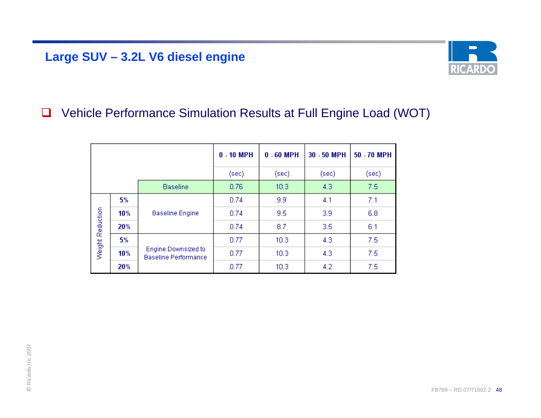## **Large SUV – 3.2L V6 diesel engine**



#### $\Box$ Vehicle Performance Simulation Results at Full Engine Load (WOT)

|                         |                                                    | $0 - 10$ MPH | $0 - 60$ MPH | 30 - 50 MPH | 50 - 70 MPH |
|-------------------------|----------------------------------------------------|--------------|--------------|-------------|-------------|
|                         |                                                    | (sec)        | (sec)        | (sec)       | (sec)       |
|                         | <b>Baseline</b>                                    | 0.76         | 10.3         | 4.3         | 7.5         |
| 5%                      |                                                    | 0.74         | 9.9          | 4.1         | 7.1         |
| 10%                     | <b>Baseline Engine</b>                             | 0.74         | 9.5          | 3.9         | 6.8         |
| 20%                     |                                                    | 0.74         | 8.7          | 3.5         | 6.1         |
| 5%                      |                                                    | 0.77         | 10.3         | 4.3         | 7.5         |
| Weight Reduction<br>10% | Engine Downsized to<br><b>Baseline Performance</b> | 0.77         | 10.3         | 4.3         | 7.5         |
| 20%                     |                                                    | 0.77         | 10.3         | 4.2         | 7.5         |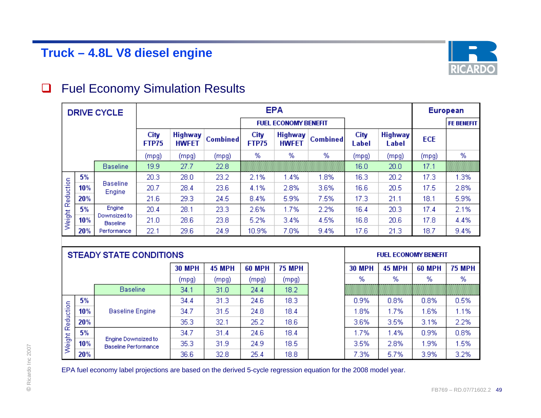

#### $\Box$ Fuel Economy Simulation Results

|           |     | <b>DRIVE CYCLE</b>              |                      |                                |                 |                      | <b>EPA</b>                     |                 |               |                         | European   |                   |
|-----------|-----|---------------------------------|----------------------|--------------------------------|-----------------|----------------------|--------------------------------|-----------------|---------------|-------------------------|------------|-------------------|
|           |     |                                 |                      |                                |                 |                      | <b>FUEL ECONOMY BENEFIT</b>    |                 |               |                         |            | <b>FE BENEFIT</b> |
|           |     |                                 | City<br><b>FTP75</b> | <b>Highway</b><br><b>HWFET</b> | <b>Combined</b> | City<br><b>FTP75</b> | <b>Highway</b><br><b>HWFET</b> | <b>Combined</b> | City<br>Label | <b>Highway</b><br>Label | <b>ECE</b> |                   |
|           |     |                                 | (mpg)                | (mpg)                          | (mpg)           | %                    | %                              | %               | (mpg)         | (mpg)                   | (mpg)      | %                 |
|           |     | <b>Baseline</b>                 | 19.9                 | 27.7                           | 22.8            |                      |                                |                 | 16.0          | 20.0                    | 17.1       |                   |
|           | 5%  |                                 | 20.3                 | 28.0                           | 23.2            | 2.1%                 | 1.4%                           | 1.8%            | 16.3          | 20.2                    | 17.3       | 1.3%              |
|           | 10% | <b>Baseline</b><br>Engine       | 20.7                 | 28.4                           | 23.6            | 4.1%                 | 2.8%                           | 3.6%            | 16.6          | 20.5                    | 17.5       | 2.8%              |
| Reduction | 20% |                                 | 21.6                 | 29.3                           | 24.5            | 8.4%                 | 5.9%                           | 7.5%            | 17.3          | 21.1                    | 18.1       | 5.9%              |
|           | 5%  | Engine                          | 20.4                 | 28.1                           | 23.3            | 2.6%                 | 1.7%                           | 2.2%            | 16.4          | 20.3                    | 17.4       | 2.1%              |
| Weight    | 10% | Downsized to<br><b>Baseline</b> | 21.0                 | 28.6                           | 23.8            | 5.2%                 | 3.4%                           | 4.5%            | 16.8          | 20.6                    | 17.8       | 4.4%              |
|           | 20% | Performance                     | 22.1                 | 29.6                           | 24.9            | 10.9%                | 7.0%                           | 9.4%            | 17.6          | 21.3                    | 18.7       | 9.4%              |

|           |     |                                             | <b>30 MPH</b> | <b>45 MPH</b> | <b>60 MPH</b> | <b>75 MPH</b>     | <b>30 MPH</b> | <b>45 MPH</b> | <b>60 MPH</b> | <b>75 MPH</b> |
|-----------|-----|---------------------------------------------|---------------|---------------|---------------|-------------------|---------------|---------------|---------------|---------------|
|           |     |                                             | (mpg)         | (mpg)         | (mpg)         | (mpg)             | %             | %             | %             | %             |
|           |     | <b>Baseline</b>                             | 34.1          | 31.0          | 24.4          | 18.2              |               |               |               |               |
|           | 5%  | <b>Baseline Engine</b>                      | 34.4          | 31.3          | 24.6          | 18.3              | 0.9%          | 0.8%          | 0.8%          | 0.5%          |
| Reduction | 10% |                                             | 34.7          | 31.5          | 24.8          | 18.4              | 1.8%          | 1.7%          | 1.6%          | 1.1%          |
|           | 20% |                                             | 35.3          | 32.1          | 25.2          | 18.6 <sub>1</sub> | 3.6%          | 3.5%          | 3.1%          | 2.2%          |
|           | 5%  | Engine Downsized to<br>Baseline Performance | 34.7          | 31.4          | 24.6          | 18.4              | 1.7%          | 1.4%          | 0.9%          | 0.8%          |
| Weight I  | 10% |                                             | 35.3          | 31.9          | 24.9          | 18.5              | 3.5%          | 2.8%          | 1.9%          | 1.5%          |
|           | 20% |                                             | 36.6          | 32.8          | 25.4          | 18.8              | 7.3%          | 5.7%          | 3.9%          | 3.2%          |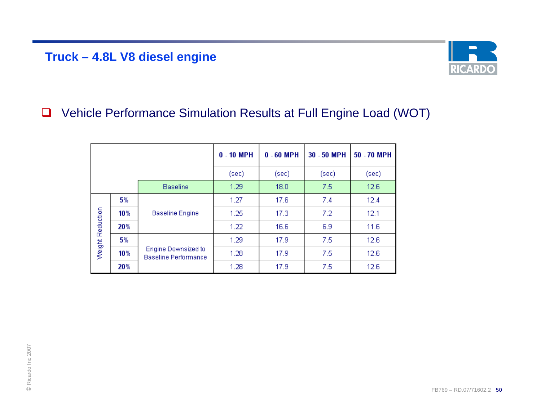### **Truck – 4.8L V8 diesel engine**



#### $\Box$ Vehicle Performance Simulation Results at Full Engine Load (WOT)

|                  |     |                                                           | $0 - 10$ MPH | $0 - 60$ MPH | 30 - 50 MPH | 50 - 70 MPH |
|------------------|-----|-----------------------------------------------------------|--------------|--------------|-------------|-------------|
|                  |     |                                                           | (sec)        | (sec)        | (sec)       | (sec)       |
|                  |     | <b>Baseline</b>                                           | 1.29         | 18.0         | 7.5         | 12.6        |
|                  | 5%  |                                                           | 1.27         | 17.6         | 7.4         | 12.4        |
|                  | 10% | <b>Baseline Engine</b>                                    | 1.25         | 17.3         | 7.2         | 12.1        |
| Weight Reduction | 20% |                                                           | 1.22         | 16.6         | 6.9         | 11.6        |
|                  | 5%  |                                                           | 1.29         | 17.9         | 7.5         | 12.6        |
|                  | 10% | <b>Engine Downsized to</b><br><b>Baseline Performance</b> | 1.28         | 17.9         | 7.5         | 12.6        |
|                  | 20% |                                                           | 1.28         | 17.9         | 7.5         | 12.6        |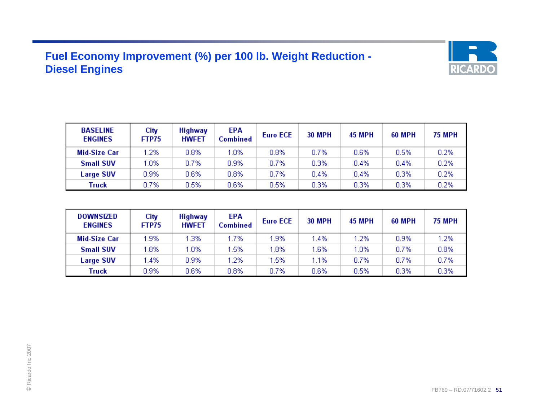### **Fuel Economy Improvement (%) per 100 lb. Weight Reduction - Diesel Engines**



| <b>BASELINE</b><br><b>ENGINES</b> | City<br>FTP75 | <b>Highway</b><br><b>HWFET</b> | EPA<br>Combined | <b>Euro ECE</b> | <b>30 MPH</b> | <b>45 MPH</b> | <b>60 MPH</b> | <b>75 MPH</b> |
|-----------------------------------|---------------|--------------------------------|-----------------|-----------------|---------------|---------------|---------------|---------------|
| Mid-Size Car                      | 1.2%          | 0.8%                           | .0%             | 0.8%            | 0.7%          | 0.6%          | 0.5%          | 0.2%          |
| <b>Small SUV</b>                  | 1.0%          | 0.7%                           | 0.9%            | 0.7%            | 0.3%          | 0.4%          | 0.4%          | 0.2%          |
| <b>Large SUV</b>                  | 0.9%          | 0.6%                           | 0.8%            | 0.7%            | 0.4%          | 0.4%          | 0.3%          | 0.2%          |
| Truck                             | 0.7%          | 0.5%                           | 0.6%            | 0.5%            | 0.3%          | 0.3%          | 0.3%          | 0.2%          |

| <b>DOWNSIZED</b><br><b>ENGINES</b> | City<br>FTP75 | <b>Highway</b><br><b>HWFET</b> | EPA<br><b>Combined</b> | <b>Euro ECE</b> | <b>30 MPH</b> | <b>45 MPH</b> | <b>60 MPH</b> | <b>75 MPH</b> |
|------------------------------------|---------------|--------------------------------|------------------------|-----------------|---------------|---------------|---------------|---------------|
| Mid-Size Car                       | 1.9%          | .3%                            | .7%                    | 1.9%            | 1.4%          | 1.2%          | 0.9%          | 1.2%          |
| <b>Small SUV</b>                   | 1.8%          | $0\%$                          | .5%                    | 1.8%            | 1.6%          | 1.0%          | 0.7%          | 0.8%          |
| <b>Large SUV</b>                   | $1.4\%$       | 0.9%                           | .2%                    | 1.5%            | 1.1%          | 0.7%          | 0.7%          | 0.7%          |
| Truck                              | 0.9%          | 0.6%                           | 0.8%                   | 0.7%            | 0.6%          | 0.5%          | 0.3%          | 0.3%          |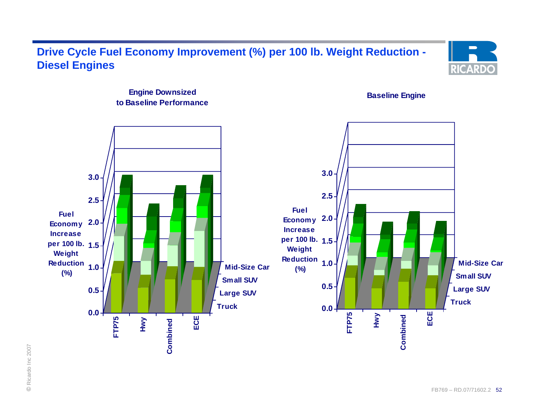### **Drive Cycle Fuel Economy Improvement (%) per 100 lb. Weight Reduction - Diesel Engines**



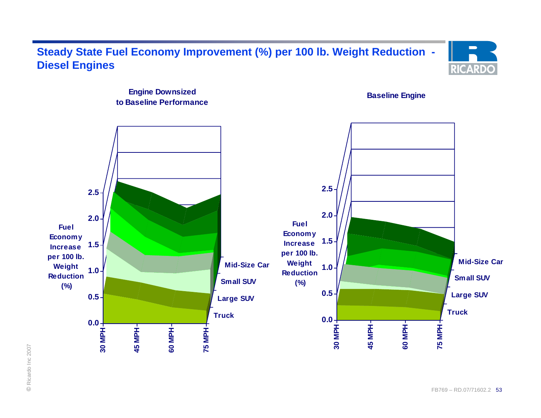### **Steady State Fuel Economy Improvement (%) per 100 lb. Weight Reduction - Diesel Engines**



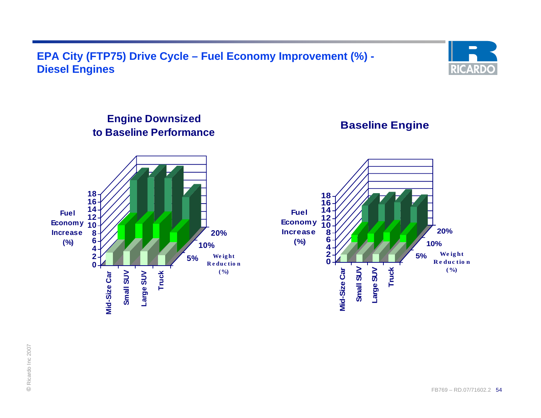**EPA City (FTP75) Drive Cycle – Fuel Economy Improvement (%) - Diesel Engines**



### **Engine Downsized to Baseline Performance**

**Baseline Engine**



© Ricardo Inc 2007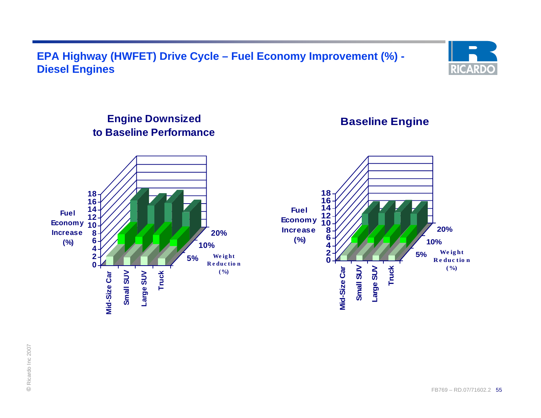### **EPA Highway (HWFET) Drive Cycle – Fuel Economy Improvement (%) - Diesel Engines**



### **Engine Downsized to Baseline Performance**

**Baseline Engine**

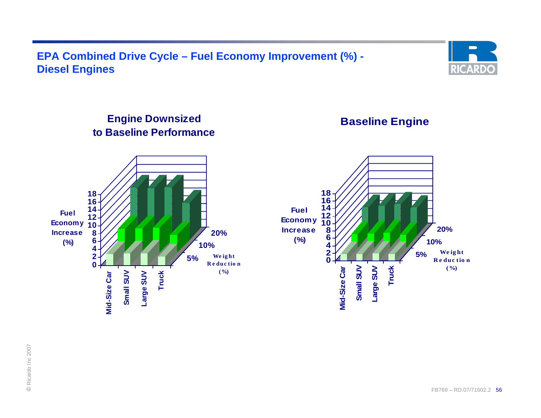### **EPA Combined Drive Cycle – Fuel Economy Improvement (%) - Diesel Engines**



### **Engine Downsized to Baseline Performance**



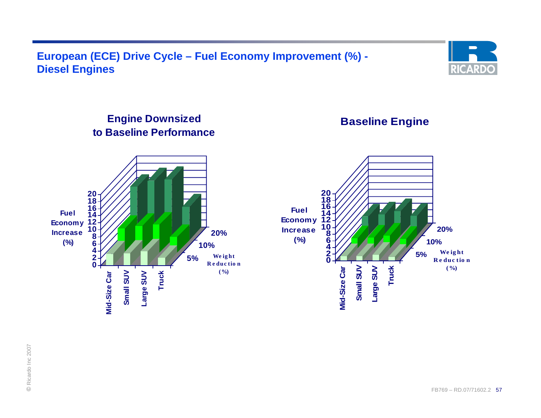### **European (ECE) Drive Cycle – Fuel Economy Improvement (%) - Diesel Engines**



### **Engine Downsized to Baseline Performance**

**Baseline Engine**



© Ricardo Inc 2007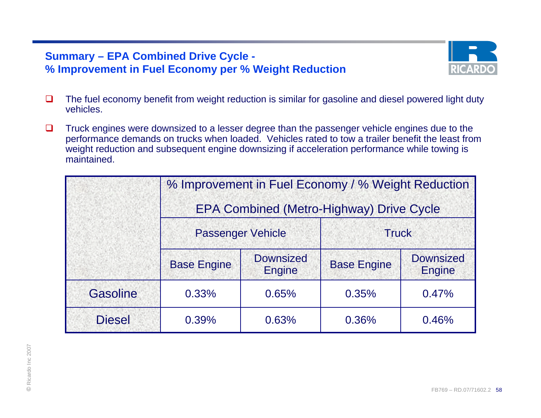### **Summary – EPA Combined Drive Cycle - % Improvement in Fuel Economy per % Weight Reduction**



- $\Box$  The fuel economy benefit from weight reduction is similar for gasoline and diesel powered light duty vehicles.
- $\Box$  Truck engines were downsized to a lesser degree than the passenger vehicle engines due to the performance demands on trucks when loaded. Vehicles rated to tow a trailer benefit the least from weight reduction and subsequent engine downsizing if acceleration performance while towing is maintained.

|                 | % Improvement in Fuel Economy / % Weight Reduction<br><b>EPA Combined (Metro-Highway) Drive Cycle</b> |                            |                    |                                   |  |  |  |  |
|-----------------|-------------------------------------------------------------------------------------------------------|----------------------------|--------------------|-----------------------------------|--|--|--|--|
|                 | <b>Passenger Vehicle</b>                                                                              |                            | <b>Truck</b>       |                                   |  |  |  |  |
|                 | <b>Base Engine</b>                                                                                    | <b>Downsized</b><br>Engine | <b>Base Engine</b> | <b>Downsized</b><br><b>Engine</b> |  |  |  |  |
| <b>Gasoline</b> | 0.33%                                                                                                 | 0.65%                      | 0.35%              | 0.47%                             |  |  |  |  |
| <b>Diesel</b>   | 0.39%                                                                                                 | 0.63%                      | 0.36%              | 0.46%                             |  |  |  |  |